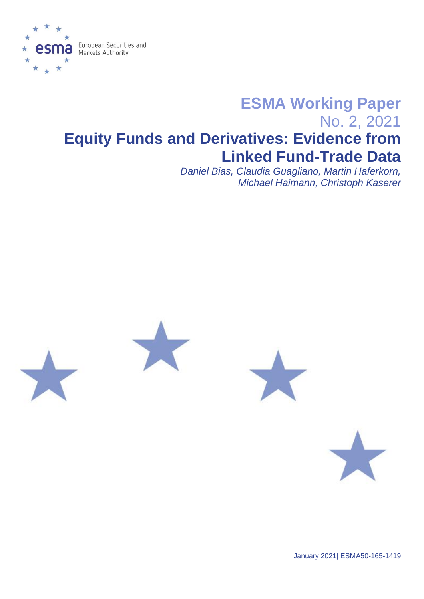

# **ESMA Working Paper** No. 2, 2021 **Equity Funds and Derivatives: Evidence from Linked Fund-Trade Data**

*Daniel Bias, Claudia Guagliano, Martin Haferkorn, Michael Haimann, Christoph Kaserer*









January 2021| ESMA50-165-1419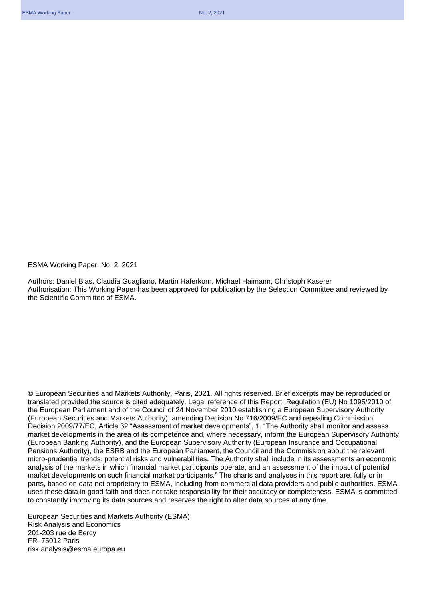ESMA Working Paper, No. 2, 2021

Authors: Daniel Bias, Claudia Guagliano, Martin Haferkorn, Michael Haimann, Christoph Kaserer Authorisation: This Working Paper has been approved for publication by the Selection Committee and reviewed by the Scientific Committee of ESMA.

© European Securities and Markets Authority, Paris, 2021. All rights reserved. Brief excerpts may be reproduced or translated provided the source is cited adequately. Legal reference of this Report: Regulation (EU) No 1095/2010 of the European Parliament and of the Council of 24 November 2010 establishing a European Supervisory Authority (European Securities and Markets Authority), amending Decision No 716/2009/EC and repealing Commission Decision 2009/77/EC, Article 32 "Assessment of market developments", 1. "The Authority shall monitor and assess market developments in the area of its competence and, where necessary, inform the European Supervisory Authority (European Banking Authority), and the European Supervisory Authority (European Insurance and Occupational Pensions Authority), the ESRB and the European Parliament, the Council and the Commission about the relevant micro-prudential trends, potential risks and vulnerabilities. The Authority shall include in its assessments an economic analysis of the markets in which financial market participants operate, and an assessment of the impact of potential market developments on such financial market participants." The charts and analyses in this report are, fully or in parts, based on data not proprietary to ESMA, including from commercial data providers and public authorities. ESMA uses these data in good faith and does not take responsibility for their accuracy or completeness. ESMA is committed to constantly improving its data sources and reserves the right to alter data sources at any time.

European Securities and Markets Authority (ESMA) Risk Analysis and Economics 201-203 rue de Bercy FR–75012 Paris risk.analysis@esma.europa.eu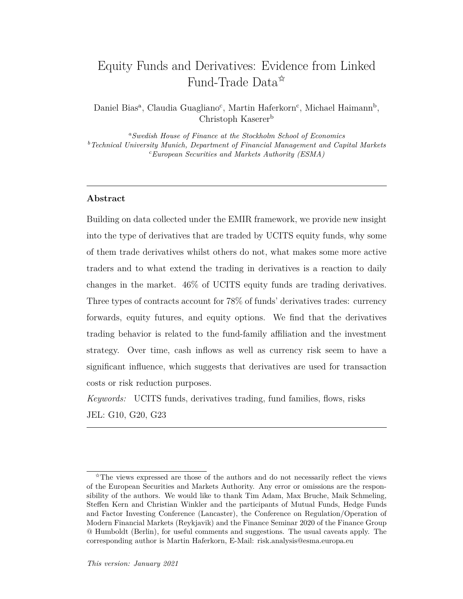## Equity Funds and Derivatives: Evidence from Linked Fund-Trade Data<sup> $\hat{\star}$ </sup>

Daniel Bias<sup>a</sup>, Claudia Guagliano<sup>c</sup>, Martin Haferkorn<sup>c</sup>, Michael Haimann<sup>b</sup>, Christoph Kaserer<sup>b</sup>

*<sup>a</sup>Swedish House of Finance at the Stockholm School of Economics <sup>b</sup>Technical University Munich, Department of Financial Management and Capital Markets <sup>c</sup>European Securities and Markets Authority (ESMA)*

## **Abstract**

Building on data collected under the EMIR framework, we provide new insight into the type of derivatives that are traded by UCITS equity funds, why some of them trade derivatives whilst others do not, what makes some more active traders and to what extend the trading in derivatives is a reaction to daily changes in the market. 46% of UCITS equity funds are trading derivatives. Three types of contracts account for 78% of funds' derivatives trades: currency forwards, equity futures, and equity options. We find that the derivatives trading behavior is related to the fund-family affiliation and the investment strategy. Over time, cash inflows as well as currency risk seem to have a significant influence, which suggests that derivatives are used for transaction costs or risk reduction purposes.

*Keywords:* UCITS funds, derivatives trading, fund families, flows, risks JEL: G10, G20, G23

 $\hat{\tau}$ The views expressed are those of the authors and do not necessarily reflect the views of the European Securities and Markets Authority. Any error or omissions are the responsibility of the authors. We would like to thank Tim Adam, Max Bruche, Maik Schmeling, Steffen Kern and Christian Winkler and the participants of Mutual Funds, Hedge Funds and Factor Investing Conference (Lancaster), the Conference on Regulation/Operation of Modern Financial Markets (Reykjavik) and the Finance Seminar 2020 of the Finance Group @ Humboldt (Berlin), for useful comments and suggestions. The usual caveats apply. The corresponding author is Martin Haferkorn, E-Mail: risk.analysis@esma.europa.eu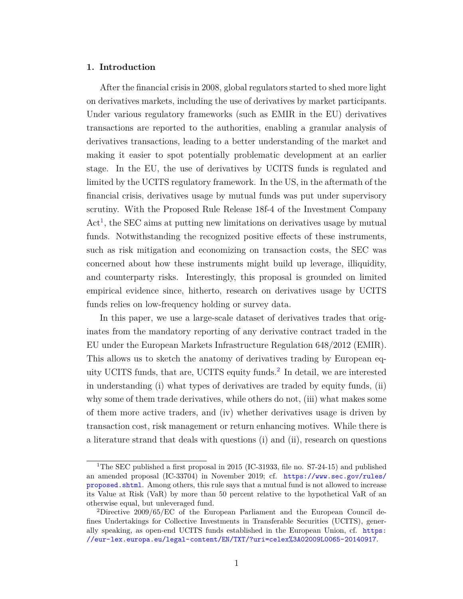## **1. Introduction**

After the financial crisis in 2008, global regulators started to shed more light on derivatives markets, including the use of derivatives by market participants. Under various regulatory frameworks (such as EMIR in the EU) derivatives transactions are reported to the authorities, enabling a granular analysis of derivatives transactions, leading to a better understanding of the market and making it easier to spot potentially problematic development at an earlier stage. In the EU, the use of derivatives by UCITS funds is regulated and limited by the UCITS regulatory framework. In the US, in the aftermath of the financial crisis, derivatives usage by mutual funds was put under supervisory scrutiny. With the Proposed Rule Release 18f-4 of the Investment Company Act<sup>[1](#page-3-0)</sup>, the SEC aims at putting new limitations on derivatives usage by mutual funds. Notwithstanding the recognized positive effects of these instruments, such as risk mitigation and economizing on transaction costs, the SEC was concerned about how these instruments might build up leverage, illiquidity, and counterparty risks. Interestingly, this proposal is grounded on limited empirical evidence since, hitherto, research on derivatives usage by UCITS funds relies on low-frequency holding or survey data.

In this paper, we use a large-scale dataset of derivatives trades that originates from the mandatory reporting of any derivative contract traded in the EU under the European Markets Infrastructure Regulation 648/2012 (EMIR). This allows us to sketch the anatomy of derivatives trading by European equity UCITS funds, that are, UCITS equity funds.[2](#page-3-1) In detail, we are interested in understanding (i) what types of derivatives are traded by equity funds, (ii) why some of them trade derivatives, while others do not, (iii) what makes some of them more active traders, and (iv) whether derivatives usage is driven by transaction cost, risk management or return enhancing motives. While there is a literature strand that deals with questions (i) and (ii), research on questions

<span id="page-3-0"></span><sup>&</sup>lt;sup>1</sup>The SEC published a first proposal in 2015 (IC-31933, file no.  $S7-24-15$ ) and published an amended proposal (IC-33704) in November 2019; cf. [https://www.sec.gov/rules/](https://www.sec.gov/rules/proposed.shtml) [proposed.shtml](https://www.sec.gov/rules/proposed.shtml). Among others, this rule says that a mutual fund is not allowed to increase its Value at Risk (VaR) by more than 50 percent relative to the hypothetical VaR of an otherwise equal, but unleveraged fund.

<span id="page-3-1"></span><sup>2</sup>Directive 2009/65/EC of the European Parliament and the European Council defines Undertakings for Collective Investments in Transferable Securities (UCITS), generally speaking, as open-end UCITS funds established in the European Union, cf. [https:](https://eur-lex.europa.eu/legal-content/EN/TXT/?uri=celex%3A02009L0065-20140917) [//eur-lex.europa.eu/legal-content/EN/TXT/?uri=celex%3A02009L0065-20140917](https://eur-lex.europa.eu/legal-content/EN/TXT/?uri=celex%3A02009L0065-20140917).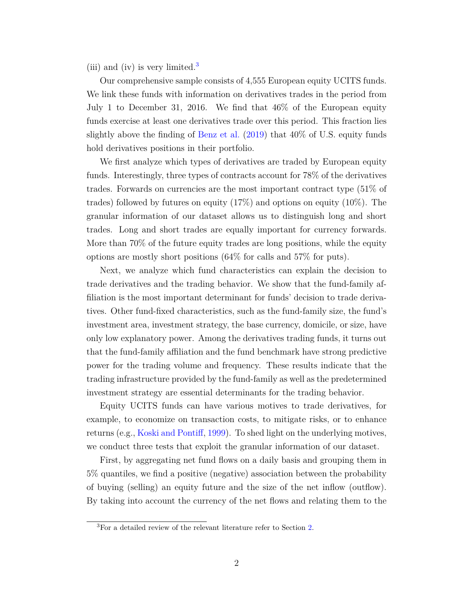(iii) and (iv) is very limited.<sup>[3](#page-4-0)</sup>

Our comprehensive sample consists of 4,555 European equity UCITS funds. We link these funds with information on derivatives trades in the period from July 1 to December 31, 2016. We find that 46% of the European equity funds exercise at least one derivatives trade over this period. This fraction lies slightly above the finding of [Benz et al.](#page-25-0) [\(2019\)](#page-25-0) that 40% of U.S. equity funds hold derivatives positions in their portfolio.

We first analyze which types of derivatives are traded by European equity funds. Interestingly, three types of contracts account for 78% of the derivatives trades. Forwards on currencies are the most important contract type (51% of trades) followed by futures on equity  $(17\%)$  and options on equity  $(10\%)$ . The granular information of our dataset allows us to distinguish long and short trades. Long and short trades are equally important for currency forwards. More than 70% of the future equity trades are long positions, while the equity options are mostly short positions (64% for calls and 57% for puts).

Next, we analyze which fund characteristics can explain the decision to trade derivatives and the trading behavior. We show that the fund-family affiliation is the most important determinant for funds' decision to trade derivatives. Other fund-fixed characteristics, such as the fund-family size, the fund's investment area, investment strategy, the base currency, domicile, or size, have only low explanatory power. Among the derivatives trading funds, it turns out that the fund-family affiliation and the fund benchmark have strong predictive power for the trading volume and frequency. These results indicate that the trading infrastructure provided by the fund-family as well as the predetermined investment strategy are essential determinants for the trading behavior.

Equity UCITS funds can have various motives to trade derivatives, for example, to economize on transaction costs, to mitigate risks, or to enhance returns (e.g., [Koski and Pontiff,](#page-25-1) [1999\)](#page-25-1). To shed light on the underlying motives, we conduct three tests that exploit the granular information of our dataset.

First, by aggregating net fund flows on a daily basis and grouping them in 5% quantiles, we find a positive (negative) association between the probability of buying (selling) an equity future and the size of the net inflow (outflow). By taking into account the currency of the net flows and relating them to the

<span id="page-4-0"></span><sup>&</sup>lt;sup>3</sup>For a detailed review of the relevant literature refer to Section [2.](#page-6-0)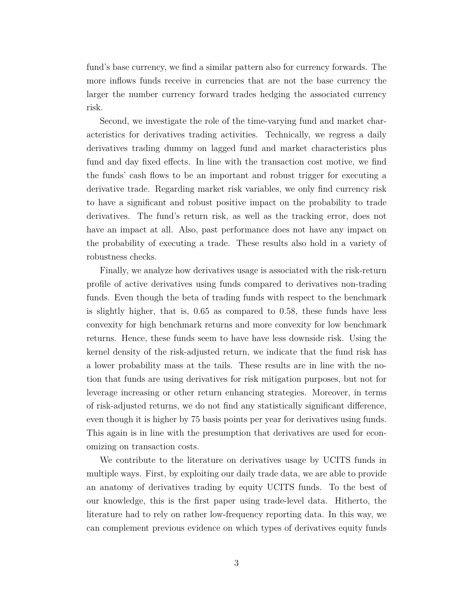fund's base currency, we find a similar pattern also for currency forwards. The more inflows funds receive in currencies that are not the base currency the larger the number currency forward trades hedging the associated currency risk.

Second, we investigate the role of the time-varying fund and market characteristics for derivatives trading activities. Technically, we regress a daily derivatives trading dummy on lagged fund and market characteristics plus fund and day fixed effects. In line with the transaction cost motive, we find the funds' cash flows to be an important and robust trigger for executing a derivative trade. Regarding market risk variables, we only find currency risk to have a significant and robust positive impact on the probability to trade derivatives. The fund's return risk, as well as the tracking error, does not have an impact at all. Also, past performance does not have any impact on the probability of executing a trade. These results also hold in a variety of robustness checks.

Finally, we analyze how derivatives usage is associated with the risk-return profile of active derivatives using funds compared to derivatives non-trading funds. Even though the beta of trading funds with respect to the benchmark is slightly higher, that is, 0.65 as compared to 0.58, these funds have less convexity for high benchmark returns and more convexity for low benchmark returns. Hence, these funds seem to have have less downside risk. Using the kernel density of the risk-adjusted return, we indicate that the fund risk has a lower probability mass at the tails. These results are in line with the notion that funds are using derivatives for risk mitigation purposes, but not for leverage increasing or other return enhancing strategies. Moreover, in terms of risk-adjusted returns, we do not find any statistically significant difference, even though it is higher by 75 basis points per year for derivatives using funds. This again is in line with the presumption that derivatives are used for economizing on transaction costs.

We contribute to the literature on derivatives usage by UCITS funds in multiple ways. First, by exploiting our daily trade data, we are able to provide an anatomy of derivatives trading by equity UCITS funds. To the best of our knowledge, this is the first paper using trade-level data. Hitherto, the literature had to rely on rather low-frequency reporting data. In this way, we can complement previous evidence on which types of derivatives equity funds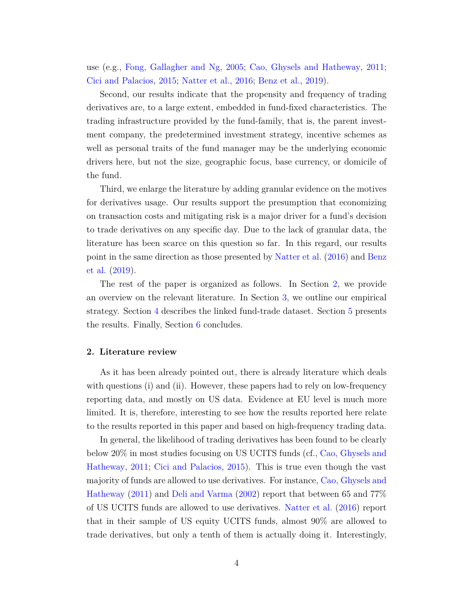use (e.g., [Fong, Gallagher and Ng,](#page-25-2) [2005;](#page-25-2) [Cao, Ghysels and Hatheway,](#page-25-3) [2011;](#page-25-3) [Cici and Palacios,](#page-25-4) [2015;](#page-25-4) [Natter et al.,](#page-25-5) [2016;](#page-25-5) [Benz et al.,](#page-25-0) [2019\)](#page-25-0).

Second, our results indicate that the propensity and frequency of trading derivatives are, to a large extent, embedded in fund-fixed characteristics. The trading infrastructure provided by the fund-family, that is, the parent investment company, the predetermined investment strategy, incentive schemes as well as personal traits of the fund manager may be the underlying economic drivers here, but not the size, geographic focus, base currency, or domicile of the fund.

Third, we enlarge the literature by adding granular evidence on the motives for derivatives usage. Our results support the presumption that economizing on transaction costs and mitigating risk is a major driver for a fund's decision to trade derivatives on any specific day. Due to the lack of granular data, the literature has been scarce on this question so far. In this regard, our results point in the same direction as those presented by [Natter et al.](#page-25-5) [\(2016\)](#page-25-5) and [Benz](#page-25-0) [et al.](#page-25-0) [\(2019\)](#page-25-0).

The rest of the paper is organized as follows. In Section [2,](#page-6-0) we provide an overview on the relevant literature. In Section [3,](#page-10-0) we outline our empirical strategy. Section [4](#page-13-0) describes the linked fund-trade dataset. Section [5](#page-15-0) presents the results. Finally, Section [6](#page-24-0) concludes.

## <span id="page-6-0"></span>**2. Literature review**

As it has been already pointed out, there is already literature which deals with questions (i) and (ii). However, these papers had to rely on low-frequency reporting data, and mostly on US data. Evidence at EU level is much more limited. It is, therefore, interesting to see how the results reported here relate to the results reported in this paper and based on high-frequency trading data.

In general, the likelihood of trading derivatives has been found to be clearly below 20% in most studies focusing on US UCITS funds (cf., [Cao, Ghysels and](#page-25-3) [Hatheway,](#page-25-3) [2011;](#page-25-3) [Cici and Palacios,](#page-25-4) [2015\)](#page-25-4). This is true even though the vast majority of funds are allowed to use derivatives. For instance, [Cao, Ghysels and](#page-25-3) [Hatheway](#page-25-3) [\(2011\)](#page-25-3) and [Deli and Varma](#page-25-6) [\(2002\)](#page-25-6) report that between 65 and 77% of US UCITS funds are allowed to use derivatives. [Natter et al.](#page-25-5) [\(2016\)](#page-25-5) report that in their sample of US equity UCITS funds, almost 90% are allowed to trade derivatives, but only a tenth of them is actually doing it. Interestingly,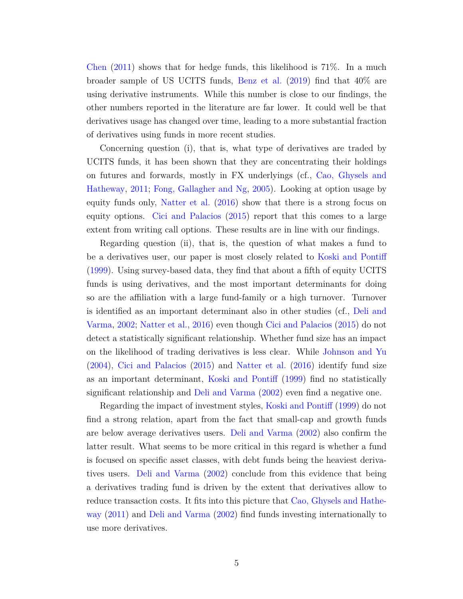[Chen](#page-25-7) [\(2011\)](#page-25-7) shows that for hedge funds, this likelihood is 71%. In a much broader sample of US UCITS funds, [Benz et al.](#page-25-0) [\(2019\)](#page-25-0) find that 40% are using derivative instruments. While this number is close to our findings, the other numbers reported in the literature are far lower. It could well be that derivatives usage has changed over time, leading to a more substantial fraction of derivatives using funds in more recent studies.

Concerning question (i), that is, what type of derivatives are traded by UCITS funds, it has been shown that they are concentrating their holdings on futures and forwards, mostly in FX underlyings (cf., [Cao, Ghysels and](#page-25-3) [Hatheway,](#page-25-3) [2011;](#page-25-3) [Fong, Gallagher and Ng,](#page-25-2) [2005\)](#page-25-2). Looking at option usage by equity funds only, [Natter et al.](#page-25-5) [\(2016\)](#page-25-5) show that there is a strong focus on equity options. [Cici and Palacios](#page-25-4) [\(2015\)](#page-25-4) report that this comes to a large extent from writing call options. These results are in line with our findings.

Regarding question (ii), that is, the question of what makes a fund to be a derivatives user, our paper is most closely related to [Koski and Pontiff](#page-25-1) [\(1999\)](#page-25-1). Using survey-based data, they find that about a fifth of equity UCITS funds is using derivatives, and the most important determinants for doing so are the affiliation with a large fund-family or a high turnover. Turnover is identified as an important determinant also in other studies (cf., [Deli and](#page-25-6) [Varma,](#page-25-6) [2002;](#page-25-6) [Natter et al.,](#page-25-5) [2016\)](#page-25-5) even though [Cici and Palacios](#page-25-4) [\(2015\)](#page-25-4) do not detect a statistically significant relationship. Whether fund size has an impact on the likelihood of trading derivatives is less clear. While [Johnson and Yu](#page-25-8) [\(2004\)](#page-25-8), [Cici and Palacios](#page-25-4) [\(2015\)](#page-25-4) and [Natter et al.](#page-25-5) [\(2016\)](#page-25-5) identify fund size as an important determinant, [Koski and Pontiff](#page-25-1) [\(1999\)](#page-25-1) find no statistically significant relationship and [Deli and Varma](#page-25-6) [\(2002\)](#page-25-6) even find a negative one.

Regarding the impact of investment styles, [Koski and Pontiff](#page-25-1) [\(1999\)](#page-25-1) do not find a strong relation, apart from the fact that small-cap and growth funds are below average derivatives users. [Deli and Varma](#page-25-6) [\(2002\)](#page-25-6) also confirm the latter result. What seems to be more critical in this regard is whether a fund is focused on specific asset classes, with debt funds being the heaviest derivatives users. [Deli and Varma](#page-25-6) [\(2002\)](#page-25-6) conclude from this evidence that being a derivatives trading fund is driven by the extent that derivatives allow to reduce transaction costs. It fits into this picture that [Cao, Ghysels and Hathe](#page-25-3)[way](#page-25-3) [\(2011\)](#page-25-3) and [Deli and Varma](#page-25-6) [\(2002\)](#page-25-6) find funds investing internationally to use more derivatives.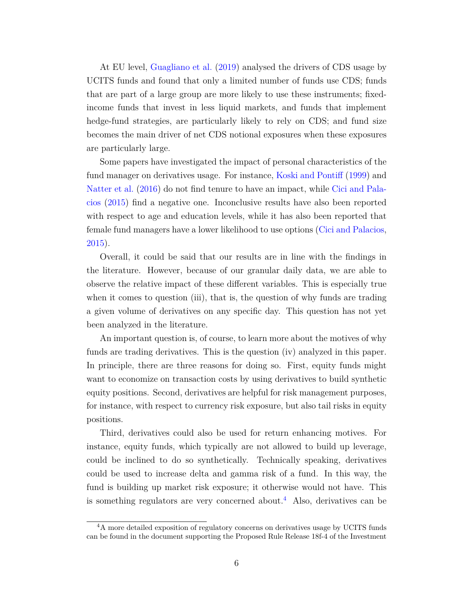At EU level, [Guagliano et al.](#page-25-9) [\(2019\)](#page-25-9) analysed the drivers of CDS usage by UCITS funds and found that only a limited number of funds use CDS; funds that are part of a large group are more likely to use these instruments; fixedincome funds that invest in less liquid markets, and funds that implement hedge-fund strategies, are particularly likely to rely on CDS; and fund size becomes the main driver of net CDS notional exposures when these exposures are particularly large.

Some papers have investigated the impact of personal characteristics of the fund manager on derivatives usage. For instance, [Koski and Pontiff](#page-25-1) [\(1999\)](#page-25-1) and [Natter et al.](#page-25-5) [\(2016\)](#page-25-5) do not find tenure to have an impact, while [Cici and Pala](#page-25-4)[cios](#page-25-4) [\(2015\)](#page-25-4) find a negative one. Inconclusive results have also been reported with respect to age and education levels, while it has also been reported that female fund managers have a lower likelihood to use options [\(Cici and Palacios,](#page-25-4) [2015\)](#page-25-4).

Overall, it could be said that our results are in line with the findings in the literature. However, because of our granular daily data, we are able to observe the relative impact of these different variables. This is especially true when it comes to question (iii), that is, the question of why funds are trading a given volume of derivatives on any specific day. This question has not yet been analyzed in the literature.

An important question is, of course, to learn more about the motives of why funds are trading derivatives. This is the question (iv) analyzed in this paper. In principle, there are three reasons for doing so. First, equity funds might want to economize on transaction costs by using derivatives to build synthetic equity positions. Second, derivatives are helpful for risk management purposes, for instance, with respect to currency risk exposure, but also tail risks in equity positions.

Third, derivatives could also be used for return enhancing motives. For instance, equity funds, which typically are not allowed to build up leverage, could be inclined to do so synthetically. Technically speaking, derivatives could be used to increase delta and gamma risk of a fund. In this way, the fund is building up market risk exposure; it otherwise would not have. This is something regulators are very concerned about.<sup>[4](#page-8-0)</sup> Also, derivatives can be

<span id="page-8-0"></span><sup>&</sup>lt;sup>4</sup>A more detailed exposition of regulatory concerns on derivatives usage by UCITS funds can be found in the document supporting the Proposed Rule Release 18f-4 of the Investment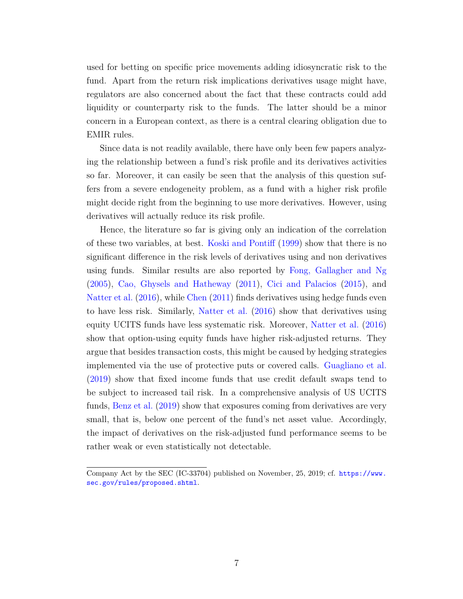used for betting on specific price movements adding idiosyncratic risk to the fund. Apart from the return risk implications derivatives usage might have, regulators are also concerned about the fact that these contracts could add liquidity or counterparty risk to the funds. The latter should be a minor concern in a European context, as there is a central clearing obligation due to EMIR rules.

Since data is not readily available, there have only been few papers analyzing the relationship between a fund's risk profile and its derivatives activities so far. Moreover, it can easily be seen that the analysis of this question suffers from a severe endogeneity problem, as a fund with a higher risk profile might decide right from the beginning to use more derivatives. However, using derivatives will actually reduce its risk profile.

Hence, the literature so far is giving only an indication of the correlation of these two variables, at best. [Koski and Pontiff](#page-25-1) [\(1999\)](#page-25-1) show that there is no significant difference in the risk levels of derivatives using and non derivatives using funds. Similar results are also reported by [Fong, Gallagher and Ng](#page-25-2) [\(2005\)](#page-25-2), [Cao, Ghysels and Hatheway](#page-25-3) [\(2011\)](#page-25-3), [Cici and Palacios](#page-25-4) [\(2015\)](#page-25-4), and [Natter et al.](#page-25-5) [\(2016\)](#page-25-5), while [Chen](#page-25-7) [\(2011\)](#page-25-7) finds derivatives using hedge funds even to have less risk. Similarly, [Natter et al.](#page-25-5) [\(2016\)](#page-25-5) show that derivatives using equity UCITS funds have less systematic risk. Moreover, [Natter et al.](#page-25-5) [\(2016\)](#page-25-5) show that option-using equity funds have higher risk-adjusted returns. They argue that besides transaction costs, this might be caused by hedging strategies implemented via the use of protective puts or covered calls. [Guagliano et al.](#page-25-9) [\(2019\)](#page-25-9) show that fixed income funds that use credit default swaps tend to be subject to increased tail risk. In a comprehensive analysis of US UCITS funds, [Benz et al.](#page-25-0) [\(2019\)](#page-25-0) show that exposures coming from derivatives are very small, that is, below one percent of the fund's net asset value. Accordingly, the impact of derivatives on the risk-adjusted fund performance seems to be rather weak or even statistically not detectable.

Company Act by the SEC (IC-33704) published on November, 25, 2019; cf. [https://www.](https://www.sec.gov/rules/proposed.shtml) [sec.gov/rules/proposed.shtml](https://www.sec.gov/rules/proposed.shtml).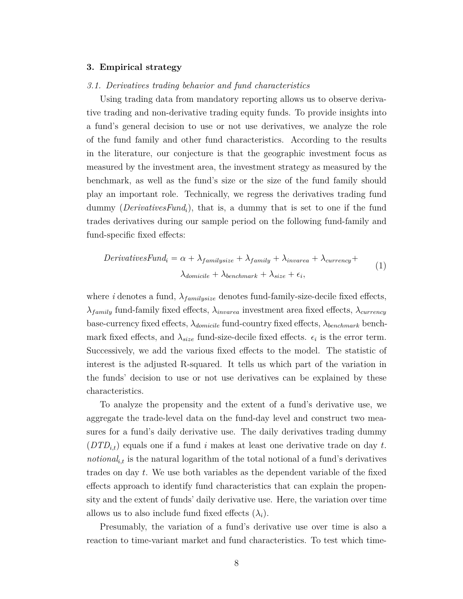## <span id="page-10-0"></span>**3. Empirical strategy**

## *3.1. Derivatives trading behavior and fund characteristics*

Using trading data from mandatory reporting allows us to observe derivative trading and non-derivative trading equity funds. To provide insights into a fund's general decision to use or not use derivatives, we analyze the role of the fund family and other fund characteristics. According to the results in the literature, our conjecture is that the geographic investment focus as measured by the investment area, the investment strategy as measured by the benchmark, as well as the fund's size or the size of the fund family should play an important role. Technically, we regress the derivatives trading fund dummy (*DerivativesFundi*), that is, a dummy that is set to one if the fund trades derivatives during our sample period on the following fund-family and fund-specific fixed effects:

<span id="page-10-1"></span>
$$
Derivatives Fund_i = \alpha + \lambda_{family size} + \lambda_{family} + \lambda_{inverse} + \lambda_{currentcy} + \lambda_{domicile} + \lambda_{benchmark} + \lambda_{size} + \epsilon_i,
$$
\n
$$
(1)
$$

where *i* denotes a fund,  $\lambda_{family size}$  denotes fund-family-size-decile fixed effects, *λfamily* fund-family fixed effects, *λinvarea* investment area fixed effects, *λcurrency* base-currency fixed effects, *λdomicile* fund-country fixed effects, *λbenchmark* benchmark fixed effects, and  $\lambda_{size}$  fund-size-decile fixed effects.  $\epsilon_i$  is the error term. Successively, we add the various fixed effects to the model. The statistic of interest is the adjusted R-squared. It tells us which part of the variation in the funds' decision to use or not use derivatives can be explained by these characteristics.

To analyze the propensity and the extent of a fund's derivative use, we aggregate the trade-level data on the fund-day level and construct two measures for a fund's daily derivative use. The daily derivatives trading dummy (*DTDi,t*) equals one if a fund *i* makes at least one derivative trade on day *t*. *notional<sub>i,t</sub>* is the natural logarithm of the total notional of a fund's derivatives trades on day *t*. We use both variables as the dependent variable of the fixed effects approach to identify fund characteristics that can explain the propensity and the extent of funds' daily derivative use. Here, the variation over time allows us to also include fund fixed effects  $(\lambda_i)$ .

Presumably, the variation of a fund's derivative use over time is also a reaction to time-variant market and fund characteristics. To test which time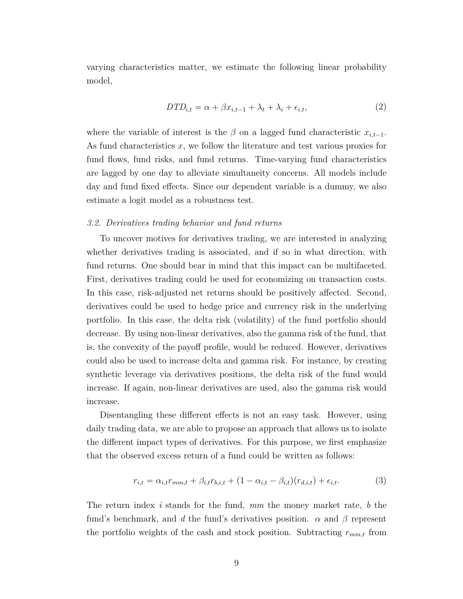varying characteristics matter, we estimate the following linear probability model,

$$
DTD_{i,t} = \alpha + \beta x_{i,t-1} + \lambda_t + \lambda_i + \epsilon_{i,t},\tag{2}
$$

<span id="page-11-0"></span>where the variable of interest is the  $\beta$  on a lagged fund characteristic  $x_{i,t-1}$ . As fund characteristics *x*, we follow the literature and test various proxies for fund flows, fund risks, and fund returns. Time-varying fund characteristics are lagged by one day to alleviate simultaneity concerns. All models include day and fund fixed effects. Since our dependent variable is a dummy, we also estimate a logit model as a robustness test.

## *3.2. Derivatives trading behavior and fund returns*

To uncover motives for derivatives trading, we are interested in analyzing whether derivatives trading is associated, and if so in what direction, with fund returns. One should bear in mind that this impact can be multifaceted. First, derivatives trading could be used for economizing on transaction costs. In this case, risk-adjusted net returns should be positively affected. Second, derivatives could be used to hedge price and currency risk in the underlying portfolio. In this case, the delta risk (volatility) of the fund portfolio should decrease. By using non-linear derivatives, also the gamma risk of the fund, that is, the convexity of the payoff profile, would be reduced. However, derivatives could also be used to increase delta and gamma risk. For instance, by creating synthetic leverage via derivatives positions, the delta risk of the fund would increase. If again, non-linear derivatives are used, also the gamma risk would increase.

Disentangling these different effects is not an easy task. However, using daily trading data, we are able to propose an approach that allows us to isolate the different impact types of derivatives. For this purpose, we first emphasize that the observed excess return of a fund could be written as follows:

$$
r_{i,t} = \alpha_{i,t} r_{mm,t} + \beta_{i,t} r_{b,i,t} + (1 - \alpha_{i,t} - \beta_{i,t}) (r_{d,i,t}) + \epsilon_{i,t}.
$$
 (3)

The return index *i* stands for the fund, *mm* the money market rate, *b* the fund's benchmark, and *d* the fund's derivatives position.  $\alpha$  and  $\beta$  represent the portfolio weights of the cash and stock position. Subtracting *rmm,t* from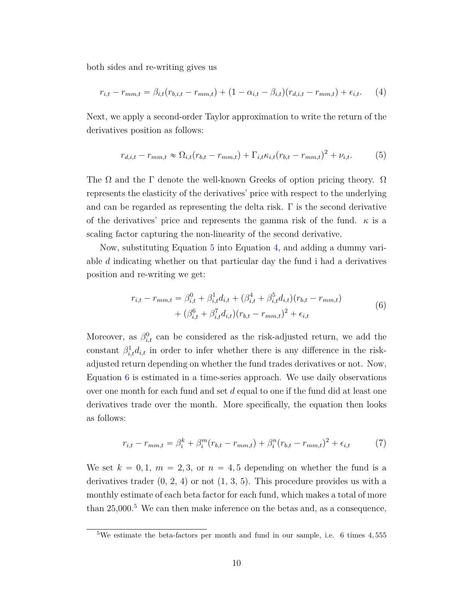both sides and re-writing gives us

<span id="page-12-1"></span>
$$
r_{i,t} - r_{mm,t} = \beta_{i,t}(r_{b,i,t} - r_{mm,t}) + (1 - \alpha_{i,t} - \beta_{i,t})(r_{d,i,t} - r_{mm,t}) + \epsilon_{i,t}.
$$
 (4)

Next, we apply a second-order Taylor approximation to write the return of the derivatives position as follows:

<span id="page-12-0"></span>
$$
r_{d,i,t} - r_{mm,t} \approx \Omega_{i,t}(r_{b,t} - r_{mm,t}) + \Gamma_{i,t} \kappa_{i,t} (r_{b,t} - r_{mm,t})^2 + \nu_{i,t}.
$$
 (5)

The  $\Omega$  and the  $\Gamma$  denote the well-known Greeks of option pricing theory.  $\Omega$ represents the elasticity of the derivatives' price with respect to the underlying and can be regarded as representing the delta risk. Γ is the second derivative of the derivatives' price and represents the gamma risk of the fund.  $\kappa$  is a scaling factor capturing the non-linearity of the second derivative.

Now, substituting Equation [5](#page-12-0) into Equation [4,](#page-12-1) and adding a dummy variable *d* indicating whether on that particular day the fund i had a derivatives position and re-writing we get:

$$
r_{i,t} - r_{mm,t} = \beta_{i,t}^0 + \beta_{i,t}^1 d_{i,t} + (\beta_{i,t}^4 + \beta_{i,t}^5 d_{i,t})(r_{b,t} - r_{mm,t})
$$
  
+ 
$$
(\beta_{i,t}^6 + \beta_{i,t}^7 d_{i,t})(r_{b,t} - r_{mm,t})^2 + \epsilon_{i,t}
$$
 (6)

<span id="page-12-2"></span>Moreover, as  $\beta_{i,t}^0$  can be considered as the risk-adjusted return, we add the constant  $\beta_{i,t}^1 d_{i,t}$  in order to infer whether there is any difference in the riskadjusted return depending on whether the fund trades derivatives or not. Now, Equation [6](#page-12-2) is estimated in a time-series approach. We use daily observations over one month for each fund and set *d* equal to one if the fund did at least one derivatives trade over the month. More specifically, the equation then looks as follows:

$$
r_{i,t} - r_{mm,t} = \beta_i^k + \beta_i^m (r_{b,t} - r_{mm,t}) + \beta_i^n (r_{b,t} - r_{mm,t})^2 + \epsilon_{i,t}
$$
 (7)

We set  $k = 0, 1, m = 2, 3, \text{ or } n = 4, 5$  depending on whether the fund is a derivatives trader  $(0, 2, 4)$  or not  $(1, 3, 5)$ . This procedure provides us with a monthly estimate of each beta factor for each fund, which makes a total of more than  $25,000$  $25,000$  $25,000$ <sup>5</sup> We can then make inference on the betas and, as a consequence,

<span id="page-12-3"></span><sup>5</sup>We estimate the beta-factors per month and fund in our sample, i.e. 6 times 4*,* 555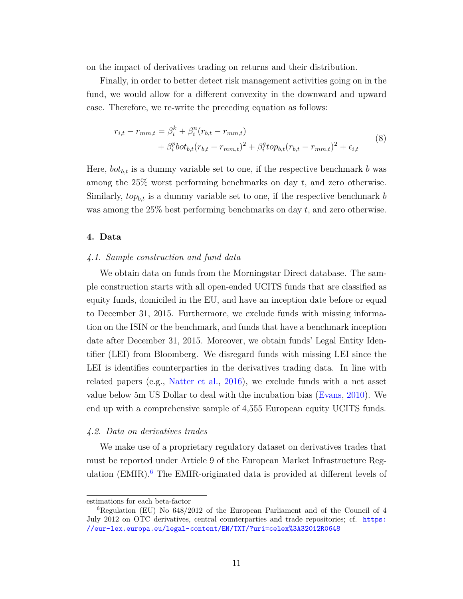on the impact of derivatives trading on returns and their distribution.

Finally, in order to better detect risk management activities going on in the fund, we would allow for a different convexity in the downward and upward case. Therefore, we re-write the preceding equation as follows:

<span id="page-13-2"></span>
$$
r_{i,t} - r_{mm,t} = \beta_i^k + \beta_i^n (r_{b,t} - r_{mm,t})
$$
  
+  $\beta_i^p \text{bot}_{b,t} (r_{b,t} - r_{mm,t})^2 + \beta_i^q \text{top}_{b,t} (r_{b,t} - r_{mm,t})^2 + \epsilon_{i,t}$  (8)

Here,  $bot_{b,t}$  is a dummy variable set to one, if the respective benchmark  $b$  was among the 25% worst performing benchmarks on day *t*, and zero otherwise. Similarly,  $top_{b,t}$  is a dummy variable set to one, if the respective benchmark *b* was among the 25% best performing benchmarks on day *t*, and zero otherwise.

## <span id="page-13-0"></span>**4. Data**

## *4.1. Sample construction and fund data*

We obtain data on funds from the Morningstar Direct database. The sample construction starts with all open-ended UCITS funds that are classified as equity funds, domiciled in the EU, and have an inception date before or equal to December 31, 2015. Furthermore, we exclude funds with missing information on the ISIN or the benchmark, and funds that have a benchmark inception date after December 31, 2015. Moreover, we obtain funds' Legal Entity Identifier (LEI) from Bloomberg. We disregard funds with missing LEI since the LEI is identifies counterparties in the derivatives trading data. In line with related papers (e.g., [Natter et al.,](#page-25-5) [2016\)](#page-25-5), we exclude funds with a net asset value below 5m US Dollar to deal with the incubation bias [\(Evans,](#page-25-10) [2010\)](#page-25-10). We end up with a comprehensive sample of 4,555 European equity UCITS funds.

## *4.2. Data on derivatives trades*

We make use of a proprietary regulatory dataset on derivatives trades that must be reported under Article 9 of the European Market Infrastructure Regulation  $(EMIR)$ .<sup>[6](#page-13-1)</sup> The EMIR-originated data is provided at different levels of

estimations for each beta-factor

<span id="page-13-1"></span> ${}^{6}$ Regulation (EU) No  $648/2012$  of the European Parliament and of the Council of 4 July 2012 on OTC derivatives, central counterparties and trade repositories; cf. [https:](https://eur-lex.europa.eu/legal-content/EN/TXT/?uri=celex%3A32012R0648) [//eur-lex.europa.eu/legal-content/EN/TXT/?uri=celex%3A32012R0648](https://eur-lex.europa.eu/legal-content/EN/TXT/?uri=celex%3A32012R0648)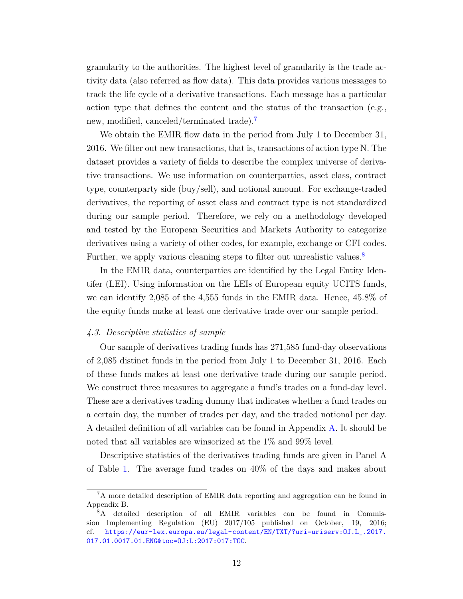granularity to the authorities. The highest level of granularity is the trade activity data (also referred as flow data). This data provides various messages to track the life cycle of a derivative transactions. Each message has a particular action type that defines the content and the status of the transaction (e.g., new, modified, canceled/terminated trade).

We obtain the EMIR flow data in the period from July 1 to December 31, 2016. We filter out new transactions, that is, transactions of action type N. The dataset provides a variety of fields to describe the complex universe of derivative transactions. We use information on counterparties, asset class, contract type, counterparty side (buy/sell), and notional amount. For exchange-traded derivatives, the reporting of asset class and contract type is not standardized during our sample period. Therefore, we rely on a methodology developed and tested by the European Securities and Markets Authority to categorize derivatives using a variety of other codes, for example, exchange or CFI codes. Further, we apply various cleaning steps to filter out unrealistic values.<sup>[8](#page-14-1)</sup>

In the EMIR data, counterparties are identified by the Legal Entity Identifer (LEI). Using information on the LEIs of European equity UCITS funds, we can identify 2,085 of the 4,555 funds in the EMIR data. Hence, 45.8% of the equity funds make at least one derivative trade over our sample period.

## *4.3. Descriptive statistics of sample*

Our sample of derivatives trading funds has 271,585 fund-day observations of 2,085 distinct funds in the period from July 1 to December 31, 2016. Each of these funds makes at least one derivative trade during our sample period. We construct three measures to aggregate a fund's trades on a fund-day level. These are a derivatives trading dummy that indicates whether a fund trades on a certain day, the number of trades per day, and the traded notional per day. A detailed definition of all variables can be found in Appendix [A.](#page-40-0) It should be noted that all variables are winsorized at the 1% and 99% level.

Descriptive statistics of the derivatives trading funds are given in Panel A of Table [1.](#page-33-0) The average fund trades on 40% of the days and makes about

<span id="page-14-0"></span><sup>7</sup>A more detailed description of EMIR data reporting and aggregation can be found in Appendix B.

<span id="page-14-1"></span><sup>8</sup>A detailed description of all EMIR variables can be found in Commission Implementing Regulation (EU) 2017/105 published on October, 19, 2016; cf. [https://eur-lex.europa.eu/legal-content/EN/TXT/?uri=uriserv:OJ.L\\_.2017.](https://eur-lex.europa.eu/legal-content/EN/TXT/?uri=uriserv:OJ.L_.2017.017.01.0017.01.ENG&toc=OJ:L:2017:017:TOC) [017.01.0017.01.ENG&toc=OJ:L:2017:017:TOC](https://eur-lex.europa.eu/legal-content/EN/TXT/?uri=uriserv:OJ.L_.2017.017.01.0017.01.ENG&toc=OJ:L:2017:017:TOC).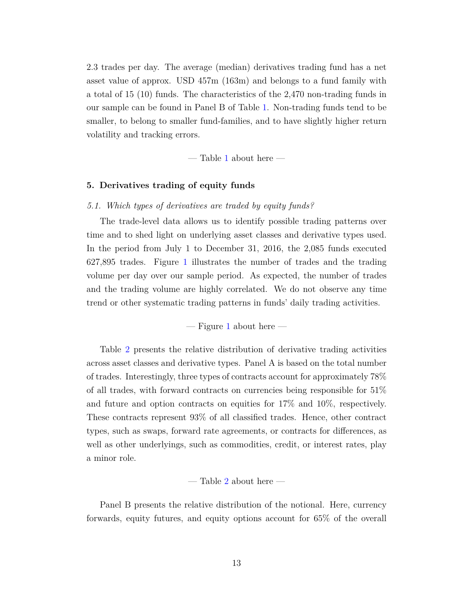2.3 trades per day. The average (median) derivatives trading fund has a net asset value of approx. USD 457m (163m) and belongs to a fund family with a total of 15 (10) funds. The characteristics of the 2,470 non-trading funds in our sample can be found in Panel B of Table [1.](#page-33-0) Non-trading funds tend to be smaller, to belong to smaller fund-families, and to have slightly higher return volatility and tracking errors.

 $-$  Table [1](#page-33-0) about here  $-$ 

## <span id="page-15-0"></span>**5. Derivatives trading of equity funds**

## *5.1. Which types of derivatives are traded by equity funds?*

The trade-level data allows us to identify possible trading patterns over time and to shed light on underlying asset classes and derivative types used. In the period from July 1 to December 31, 2016, the 2,085 funds executed 627,895 trades. Figure [1](#page-26-0) illustrates the number of trades and the trading volume per day over our sample period. As expected, the number of trades and the trading volume are highly correlated. We do not observe any time trend or other systematic trading patterns in funds' daily trading activities.

 $-$  Figure [1](#page-26-0) about here  $-$ 

Table [2](#page-34-0) presents the relative distribution of derivative trading activities across asset classes and derivative types. Panel A is based on the total number of trades. Interestingly, three types of contracts account for approximately 78% of all trades, with forward contracts on currencies being responsible for 51% and future and option contracts on equities for 17% and 10%, respectively. These contracts represent 93% of all classified trades. Hence, other contract types, such as swaps, forward rate agreements, or contracts for differences, as well as other underlyings, such as commodities, credit, or interest rates, play a minor role.

— Table [2](#page-34-0) about here —

Panel B presents the relative distribution of the notional. Here, currency forwards, equity futures, and equity options account for 65% of the overall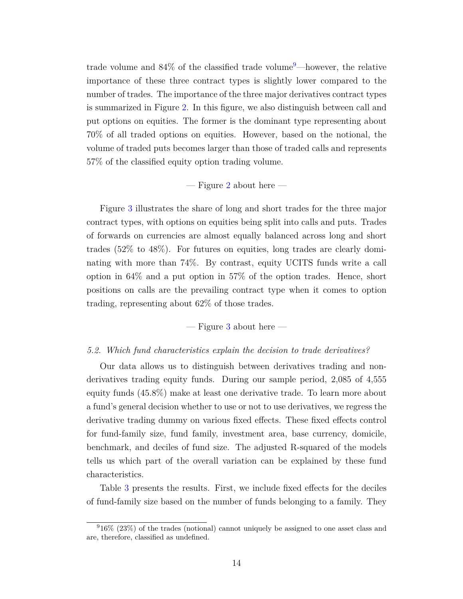trade volume and  $84\%$  of the classified trade volume<sup>[9](#page-16-0)</sup>—however, the relative importance of these three contract types is slightly lower compared to the number of trades. The importance of the three major derivatives contract types is summarized in Figure [2.](#page-27-0) In this figure, we also distinguish between call and put options on equities. The former is the dominant type representing about 70% of all traded options on equities. However, based on the notional, the volume of traded puts becomes larger than those of traded calls and represents 57% of the classified equity option trading volume.

## $-$  Figure [2](#page-27-0) about here  $-$

Figure [3](#page-28-0) illustrates the share of long and short trades for the three major contract types, with options on equities being split into calls and puts. Trades of forwards on currencies are almost equally balanced across long and short trades (52% to 48%). For futures on equities, long trades are clearly dominating with more than 74%. By contrast, equity UCITS funds write a call option in 64% and a put option in 57% of the option trades. Hence, short positions on calls are the prevailing contract type when it comes to option trading, representing about 62% of those trades.

## $-$  Figure [3](#page-28-0) about here  $-$

## *5.2. Which fund characteristics explain the decision to trade derivatives?*

Our data allows us to distinguish between derivatives trading and nonderivatives trading equity funds. During our sample period, 2,085 of 4,555 equity funds (45.8%) make at least one derivative trade. To learn more about a fund's general decision whether to use or not to use derivatives, we regress the derivative trading dummy on various fixed effects. These fixed effects control for fund-family size, fund family, investment area, base currency, domicile, benchmark, and deciles of fund size. The adjusted R-squared of the models tells us which part of the overall variation can be explained by these fund characteristics.

Table [3](#page-35-0) presents the results. First, we include fixed effects for the deciles of fund-family size based on the number of funds belonging to a family. They

<span id="page-16-0"></span><sup>9</sup>16% (23%) of the trades (notional) cannot uniquely be assigned to one asset class and are, therefore, classified as undefined.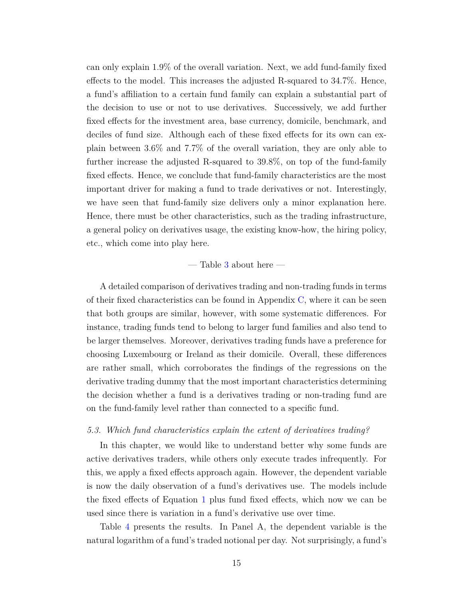can only explain 1.9% of the overall variation. Next, we add fund-family fixed effects to the model. This increases the adjusted R-squared to 34.7%. Hence, a fund's affiliation to a certain fund family can explain a substantial part of the decision to use or not to use derivatives. Successively, we add further fixed effects for the investment area, base currency, domicile, benchmark, and deciles of fund size. Although each of these fixed effects for its own can explain between 3.6% and 7.7% of the overall variation, they are only able to further increase the adjusted R-squared to 39.8%, on top of the fund-family fixed effects. Hence, we conclude that fund-family characteristics are the most important driver for making a fund to trade derivatives or not. Interestingly, we have seen that fund-family size delivers only a minor explanation here. Hence, there must be other characteristics, such as the trading infrastructure, a general policy on derivatives usage, the existing know-how, the hiring policy, etc., which come into play here.

## — Table [3](#page-35-0) about here —

A detailed comparison of derivatives trading and non-trading funds in terms of their fixed characteristics can be found in Appendix [C,](#page-43-0) where it can be seen that both groups are similar, however, with some systematic differences. For instance, trading funds tend to belong to larger fund families and also tend to be larger themselves. Moreover, derivatives trading funds have a preference for choosing Luxembourg or Ireland as their domicile. Overall, these differences are rather small, which corroborates the findings of the regressions on the derivative trading dummy that the most important characteristics determining the decision whether a fund is a derivatives trading or non-trading fund are on the fund-family level rather than connected to a specific fund.

## *5.3. Which fund characteristics explain the extent of derivatives trading?*

In this chapter, we would like to understand better why some funds are active derivatives traders, while others only execute trades infrequently. For this, we apply a fixed effects approach again. However, the dependent variable is now the daily observation of a fund's derivatives use. The models include the fixed effects of Equation [1](#page-10-1) plus fund fixed effects, which now we can be used since there is variation in a fund's derivative use over time.

Table [4](#page-36-0) presents the results. In Panel A, the dependent variable is the natural logarithm of a fund's traded notional per day. Not surprisingly, a fund's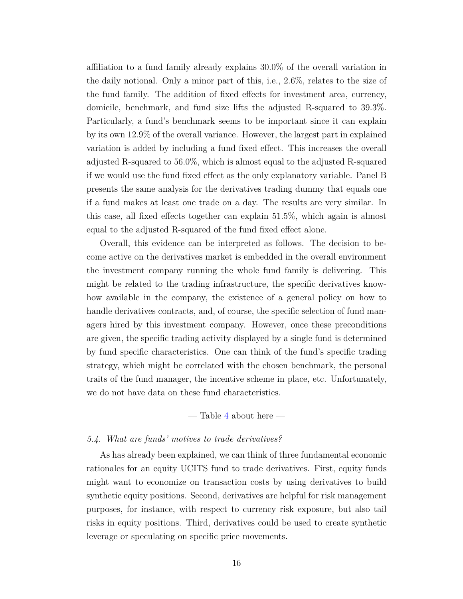affiliation to a fund family already explains 30.0% of the overall variation in the daily notional. Only a minor part of this, i.e., 2.6%, relates to the size of the fund family. The addition of fixed effects for investment area, currency, domicile, benchmark, and fund size lifts the adjusted R-squared to 39.3%. Particularly, a fund's benchmark seems to be important since it can explain by its own 12.9% of the overall variance. However, the largest part in explained variation is added by including a fund fixed effect. This increases the overall adjusted R-squared to 56.0%, which is almost equal to the adjusted R-squared if we would use the fund fixed effect as the only explanatory variable. Panel B presents the same analysis for the derivatives trading dummy that equals one if a fund makes at least one trade on a day. The results are very similar. In this case, all fixed effects together can explain 51.5%, which again is almost equal to the adjusted R-squared of the fund fixed effect alone.

Overall, this evidence can be interpreted as follows. The decision to become active on the derivatives market is embedded in the overall environment the investment company running the whole fund family is delivering. This might be related to the trading infrastructure, the specific derivatives knowhow available in the company, the existence of a general policy on how to handle derivatives contracts, and, of course, the specific selection of fund managers hired by this investment company. However, once these preconditions are given, the specific trading activity displayed by a single fund is determined by fund specific characteristics. One can think of the fund's specific trading strategy, which might be correlated with the chosen benchmark, the personal traits of the fund manager, the incentive scheme in place, etc. Unfortunately, we do not have data on these fund characteristics.

— Table [4](#page-36-0) about here —

## *5.4. What are funds' motives to trade derivatives?*

As has already been explained, we can think of three fundamental economic rationales for an equity UCITS fund to trade derivatives. First, equity funds might want to economize on transaction costs by using derivatives to build synthetic equity positions. Second, derivatives are helpful for risk management purposes, for instance, with respect to currency risk exposure, but also tail risks in equity positions. Third, derivatives could be used to create synthetic leverage or speculating on specific price movements.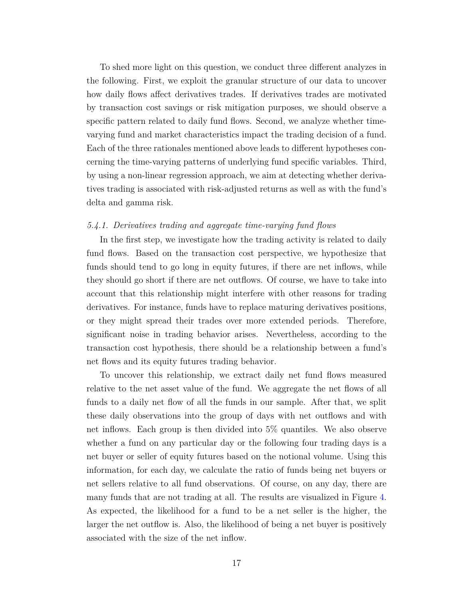To shed more light on this question, we conduct three different analyzes in the following. First, we exploit the granular structure of our data to uncover how daily flows affect derivatives trades. If derivatives trades are motivated by transaction cost savings or risk mitigation purposes, we should observe a specific pattern related to daily fund flows. Second, we analyze whether timevarying fund and market characteristics impact the trading decision of a fund. Each of the three rationales mentioned above leads to different hypotheses concerning the time-varying patterns of underlying fund specific variables. Third, by using a non-linear regression approach, we aim at detecting whether derivatives trading is associated with risk-adjusted returns as well as with the fund's delta and gamma risk.

## *5.4.1. Derivatives trading and aggregate time-varying fund flows*

In the first step, we investigate how the trading activity is related to daily fund flows. Based on the transaction cost perspective, we hypothesize that funds should tend to go long in equity futures, if there are net inflows, while they should go short if there are net outflows. Of course, we have to take into account that this relationship might interfere with other reasons for trading derivatives. For instance, funds have to replace maturing derivatives positions, or they might spread their trades over more extended periods. Therefore, significant noise in trading behavior arises. Nevertheless, according to the transaction cost hypothesis, there should be a relationship between a fund's net flows and its equity futures trading behavior.

To uncover this relationship, we extract daily net fund flows measured relative to the net asset value of the fund. We aggregate the net flows of all funds to a daily net flow of all the funds in our sample. After that, we split these daily observations into the group of days with net outflows and with net inflows. Each group is then divided into 5% quantiles. We also observe whether a fund on any particular day or the following four trading days is a net buyer or seller of equity futures based on the notional volume. Using this information, for each day, we calculate the ratio of funds being net buyers or net sellers relative to all fund observations. Of course, on any day, there are many funds that are not trading at all. The results are visualized in Figure [4.](#page-29-0) As expected, the likelihood for a fund to be a net seller is the higher, the larger the net outflow is. Also, the likelihood of being a net buyer is positively associated with the size of the net inflow.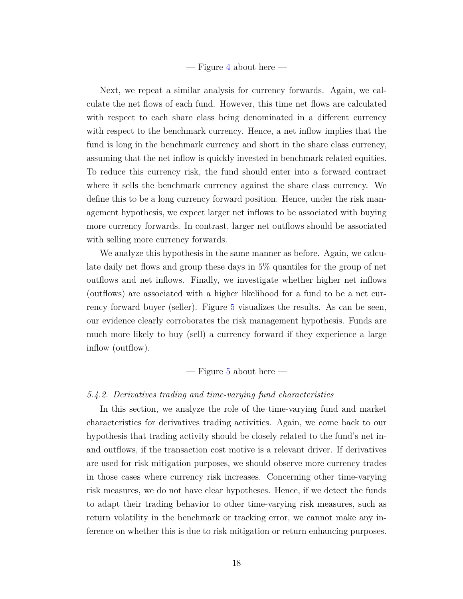## $-$  Figure [4](#page-29-0) about here  $-$

Next, we repeat a similar analysis for currency forwards. Again, we calculate the net flows of each fund. However, this time net flows are calculated with respect to each share class being denominated in a different currency with respect to the benchmark currency. Hence, a net inflow implies that the fund is long in the benchmark currency and short in the share class currency, assuming that the net inflow is quickly invested in benchmark related equities. To reduce this currency risk, the fund should enter into a forward contract where it sells the benchmark currency against the share class currency. We define this to be a long currency forward position. Hence, under the risk management hypothesis, we expect larger net inflows to be associated with buying more currency forwards. In contrast, larger net outflows should be associated with selling more currency forwards.

We analyze this hypothesis in the same manner as before. Again, we calculate daily net flows and group these days in 5% quantiles for the group of net outflows and net inflows. Finally, we investigate whether higher net inflows (outflows) are associated with a higher likelihood for a fund to be a net currency forward buyer (seller). Figure [5](#page-30-0) visualizes the results. As can be seen, our evidence clearly corroborates the risk management hypothesis. Funds are much more likely to buy (sell) a currency forward if they experience a large inflow (outflow).

## $-$  Figure [5](#page-30-0) about here  $-$

## *5.4.2. Derivatives trading and time-varying fund characteristics*

In this section, we analyze the role of the time-varying fund and market characteristics for derivatives trading activities. Again, we come back to our hypothesis that trading activity should be closely related to the fund's net inand outflows, if the transaction cost motive is a relevant driver. If derivatives are used for risk mitigation purposes, we should observe more currency trades in those cases where currency risk increases. Concerning other time-varying risk measures, we do not have clear hypotheses. Hence, if we detect the funds to adapt their trading behavior to other time-varying risk measures, such as return volatility in the benchmark or tracking error, we cannot make any inference on whether this is due to risk mitigation or return enhancing purposes.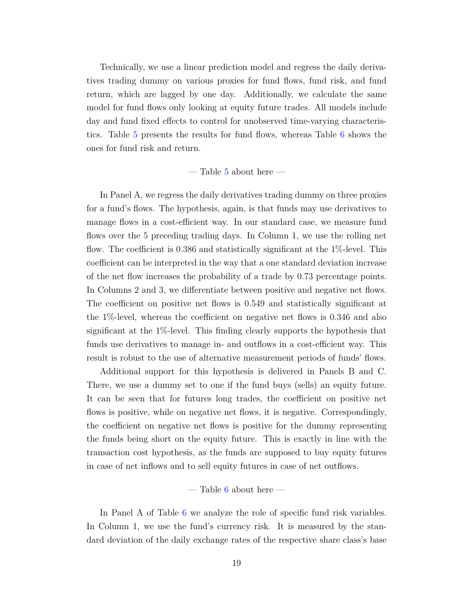Technically, we use a linear prediction model and regress the daily derivatives trading dummy on various proxies for fund flows, fund risk, and fund return, which are lagged by one day. Additionally, we calculate the same model for fund flows only looking at equity future trades. All models include day and fund fixed effects to control for unobserved time-varying characteristics. Table [5](#page-37-0) presents the results for fund flows, whereas Table [6](#page-38-0) shows the ones for fund risk and return.

## $-$  Table [5](#page-37-0) about here  $-$

In Panel A, we regress the daily derivatives trading dummy on three proxies for a fund's flows. The hypothesis, again, is that funds may use derivatives to manage flows in a cost-efficient way. In our standard case, we measure fund flows over the 5 preceding trading days. In Column 1, we use the rolling net flow. The coefficient is 0.386 and statistically significant at the 1%-level. This coefficient can be interpreted in the way that a one standard deviation increase of the net flow increases the probability of a trade by 0.73 percentage points. In Columns 2 and 3, we differentiate between positive and negative net flows. The coefficient on positive net flows is 0.549 and statistically significant at the 1%-level, whereas the coefficient on negative net flows is 0.346 and also significant at the 1%-level. This finding clearly supports the hypothesis that funds use derivatives to manage in- and outflows in a cost-efficient way. This result is robust to the use of alternative measurement periods of funds' flows.

Additional support for this hypothesis is delivered in Panels B and C. There, we use a dummy set to one if the fund buys (sells) an equity future. It can be seen that for futures long trades, the coefficient on positive net flows is positive, while on negative net flows, it is negative. Correspondingly, the coefficient on negative net flows is positive for the dummy representing the funds being short on the equity future. This is exactly in line with the transaction cost hypothesis, as the funds are supposed to buy equity futures in case of net inflows and to sell equity futures in case of net outflows.

## $-$  Table [6](#page-38-0) about here  $-$

In Panel A of Table [6](#page-38-0) we analyze the role of specific fund risk variables. In Column 1, we use the fund's currency risk. It is measured by the standard deviation of the daily exchange rates of the respective share class's base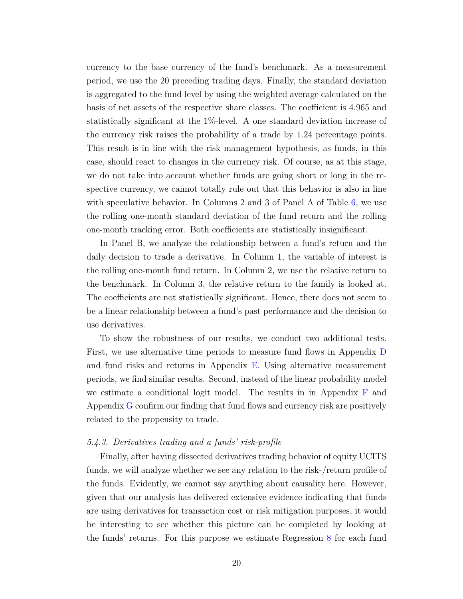currency to the base currency of the fund's benchmark. As a measurement period, we use the 20 preceding trading days. Finally, the standard deviation is aggregated to the fund level by using the weighted average calculated on the basis of net assets of the respective share classes. The coefficient is 4.965 and statistically significant at the 1%-level. A one standard deviation increase of the currency risk raises the probability of a trade by 1.24 percentage points. This result is in line with the risk management hypothesis, as funds, in this case, should react to changes in the currency risk. Of course, as at this stage, we do not take into account whether funds are going short or long in the respective currency, we cannot totally rule out that this behavior is also in line with speculative behavior. In Columns 2 and 3 of Panel A of Table [6,](#page-38-0) we use the rolling one-month standard deviation of the fund return and the rolling one-month tracking error. Both coefficients are statistically insignificant.

In Panel B, we analyze the relationship between a fund's return and the daily decision to trade a derivative. In Column 1, the variable of interest is the rolling one-month fund return. In Column 2, we use the relative return to the benchmark. In Column 3, the relative return to the family is looked at. The coefficients are not statistically significant. Hence, there does not seem to be a linear relationship between a fund's past performance and the decision to use derivatives.

To show the robustness of our results, we conduct two additional tests. First, we use alternative time periods to measure fund flows in Appendix [D](#page-45-0) and fund risks and returns in Appendix [E.](#page-46-0) Using alternative measurement periods, we find similar results. Second, instead of the linear probability model we estimate a conditional logit model. The results in in Appendix [F](#page-48-0) and Appendix [G](#page-49-0) confirm our finding that fund flows and currency risk are positively related to the propensity to trade.

## *5.4.3. Derivatives trading and a funds' risk-profile*

Finally, after having dissected derivatives trading behavior of equity UCITS funds, we will analyze whether we see any relation to the risk-/return profile of the funds. Evidently, we cannot say anything about causality here. However, given that our analysis has delivered extensive evidence indicating that funds are using derivatives for transaction cost or risk mitigation purposes, it would be interesting to see whether this picture can be completed by looking at the funds' returns. For this purpose we estimate Regression [8](#page-13-2) for each fund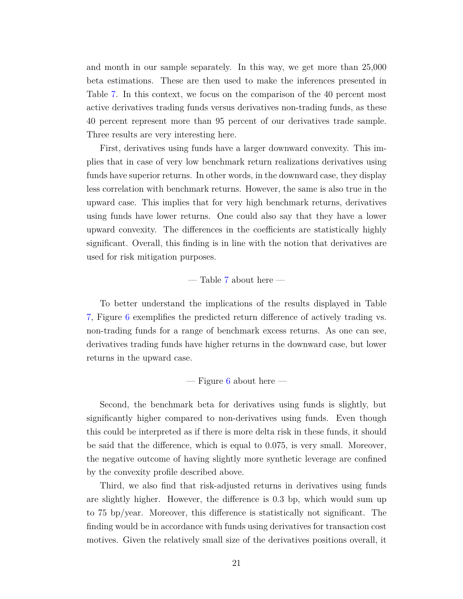and month in our sample separately. In this way, we get more than 25,000 beta estimations. These are then used to make the inferences presented in Table [7.](#page-39-0) In this context, we focus on the comparison of the 40 percent most active derivatives trading funds versus derivatives non-trading funds, as these 40 percent represent more than 95 percent of our derivatives trade sample. Three results are very interesting here.

First, derivatives using funds have a larger downward convexity. This implies that in case of very low benchmark return realizations derivatives using funds have superior returns. In other words, in the downward case, they display less correlation with benchmark returns. However, the same is also true in the upward case. This implies that for very high benchmark returns, derivatives using funds have lower returns. One could also say that they have a lower upward convexity. The differences in the coefficients are statistically highly significant. Overall, this finding is in line with the notion that derivatives are used for risk mitigation purposes.

## — Table [7](#page-39-0) about here —

To better understand the implications of the results displayed in Table [7,](#page-39-0) Figure [6](#page-31-0) exemplifies the predicted return difference of actively trading vs. non-trading funds for a range of benchmark excess returns. As one can see, derivatives trading funds have higher returns in the downward case, but lower returns in the upward case.

 $-$  Figure [6](#page-31-0) about here  $-$ 

Second, the benchmark beta for derivatives using funds is slightly, but significantly higher compared to non-derivatives using funds. Even though this could be interpreted as if there is more delta risk in these funds, it should be said that the difference, which is equal to 0.075, is very small. Moreover, the negative outcome of having slightly more synthetic leverage are confined by the convexity profile described above.

Third, we also find that risk-adjusted returns in derivatives using funds are slightly higher. However, the difference is 0.3 bp, which would sum up to 75 bp/year. Moreover, this difference is statistically not significant. The finding would be in accordance with funds using derivatives for transaction cost motives. Given the relatively small size of the derivatives positions overall, it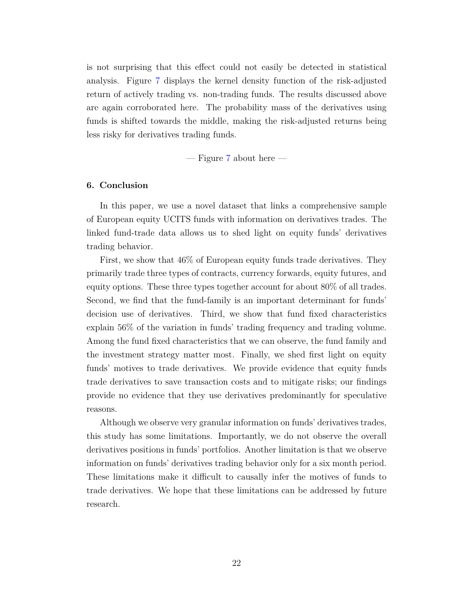is not surprising that this effect could not easily be detected in statistical analysis. Figure [7](#page-32-0) displays the kernel density function of the risk-adjusted return of actively trading vs. non-trading funds. The results discussed above are again corroborated here. The probability mass of the derivatives using funds is shifted towards the middle, making the risk-adjusted returns being less risky for derivatives trading funds.

 $-$  Figure [7](#page-32-0) about here  $-$ 

## <span id="page-24-0"></span>**6. Conclusion**

In this paper, we use a novel dataset that links a comprehensive sample of European equity UCITS funds with information on derivatives trades. The linked fund-trade data allows us to shed light on equity funds' derivatives trading behavior.

First, we show that 46% of European equity funds trade derivatives. They primarily trade three types of contracts, currency forwards, equity futures, and equity options. These three types together account for about 80% of all trades. Second, we find that the fund-family is an important determinant for funds' decision use of derivatives. Third, we show that fund fixed characteristics explain 56% of the variation in funds' trading frequency and trading volume. Among the fund fixed characteristics that we can observe, the fund family and the investment strategy matter most. Finally, we shed first light on equity funds' motives to trade derivatives. We provide evidence that equity funds trade derivatives to save transaction costs and to mitigate risks; our findings provide no evidence that they use derivatives predominantly for speculative reasons.

Although we observe very granular information on funds' derivatives trades, this study has some limitations. Importantly, we do not observe the overall derivatives positions in funds' portfolios. Another limitation is that we observe information on funds' derivatives trading behavior only for a six month period. These limitations make it difficult to causally infer the motives of funds to trade derivatives. We hope that these limitations can be addressed by future research.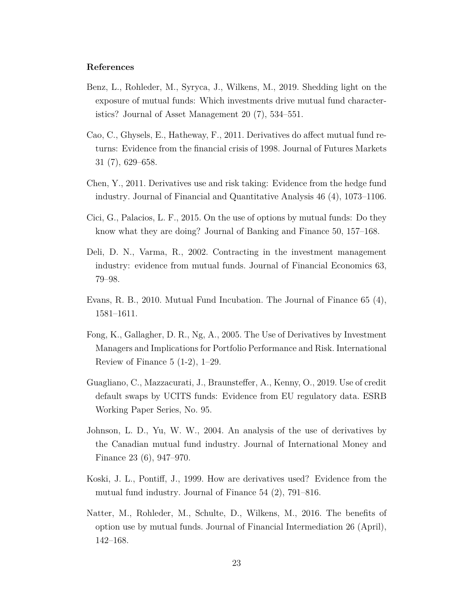## **References**

- <span id="page-25-0"></span>Benz, L., Rohleder, M., Syryca, J., Wilkens, M., 2019. Shedding light on the exposure of mutual funds: Which investments drive mutual fund characteristics? Journal of Asset Management 20 (7), 534–551.
- <span id="page-25-3"></span>Cao, C., Ghysels, E., Hatheway, F., 2011. Derivatives do affect mutual fund returns: Evidence from the financial crisis of 1998. Journal of Futures Markets 31 (7), 629–658.
- <span id="page-25-7"></span>Chen, Y., 2011. Derivatives use and risk taking: Evidence from the hedge fund industry. Journal of Financial and Quantitative Analysis 46 (4), 1073–1106.
- <span id="page-25-4"></span>Cici, G., Palacios, L. F., 2015. On the use of options by mutual funds: Do they know what they are doing? Journal of Banking and Finance 50, 157–168.
- <span id="page-25-6"></span>Deli, D. N., Varma, R., 2002. Contracting in the investment management industry: evidence from mutual funds. Journal of Financial Economics 63, 79–98.
- <span id="page-25-10"></span>Evans, R. B., 2010. Mutual Fund Incubation. The Journal of Finance 65 (4), 1581–1611.
- <span id="page-25-2"></span>Fong, K., Gallagher, D. R., Ng, A., 2005. The Use of Derivatives by Investment Managers and Implications for Portfolio Performance and Risk. International Review of Finance  $5(1-2)$ ,  $1-29$ .
- <span id="page-25-9"></span>Guagliano, C., Mazzacurati, J., Braunsteffer, A., Kenny, O., 2019. Use of credit default swaps by UCITS funds: Evidence from EU regulatory data. ESRB Working Paper Series, No. 95.
- <span id="page-25-8"></span>Johnson, L. D., Yu, W. W., 2004. An analysis of the use of derivatives by the Canadian mutual fund industry. Journal of International Money and Finance 23 (6), 947–970.
- <span id="page-25-1"></span>Koski, J. L., Pontiff, J., 1999. How are derivatives used? Evidence from the mutual fund industry. Journal of Finance 54 (2), 791–816.
- <span id="page-25-5"></span>Natter, M., Rohleder, M., Schulte, D., Wilkens, M., 2016. The benefits of option use by mutual funds. Journal of Financial Intermediation 26 (April), 142–168.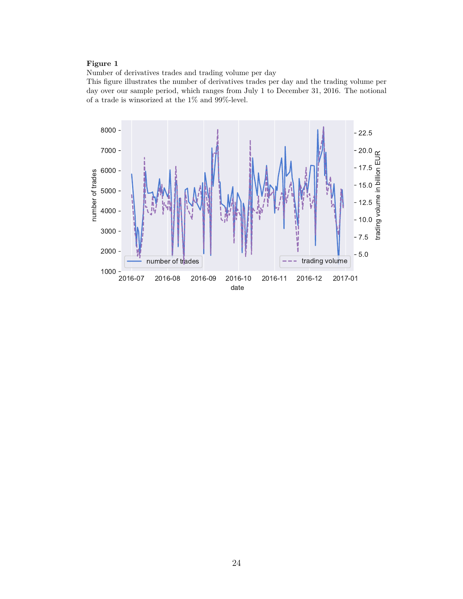<span id="page-26-0"></span>Number of derivatives trades and trading volume per day

This figure illustrates the number of derivatives trades per day and the trading volume per day over our sample period, which ranges from July 1 to December 31, 2016. The notional of a trade is winsorized at the  $1\%$  and  $99\%$  level.

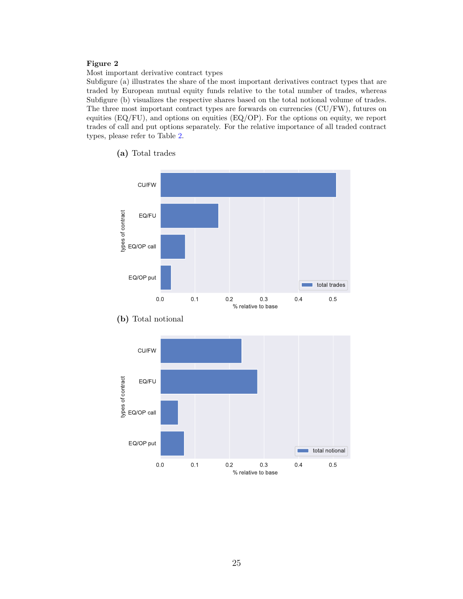<span id="page-27-0"></span>Most important derivative contract types

Subfigure (a) illustrates the share of the most important derivatives contract types that are traded by European mutual equity funds relative to the total number of trades, whereas Subfigure (b) visualizes the respective shares based on the total notional volume of trades. The three most important contract types are forwards on currencies (CU/FW), futures on equities  $(EQ/FU)$ , and options on equities  $(EQ/OP)$ . For the options on equity, we report trades of call and put options separately. For the relative importance of all traded contract types, please refer to Table [2.](#page-34-0)



**(a)** Total trades



**(b)** Total notional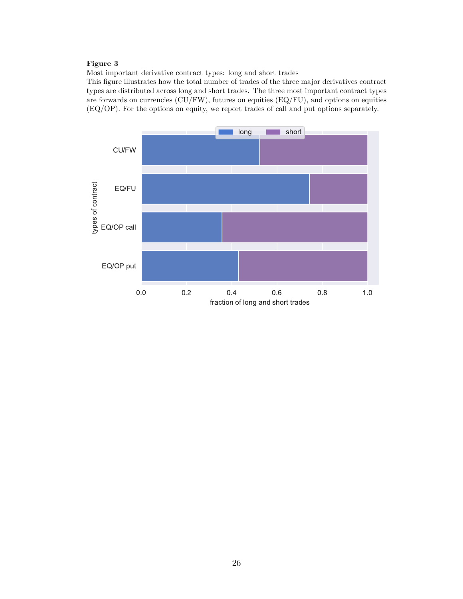<span id="page-28-0"></span>Most important derivative contract types: long and short trades

This figure illustrates how the total number of trades of the three major derivatives contract types are distributed across long and short trades. The three most important contract types are forwards on currencies (CU/FW), futures on equities (EQ/FU), and options on equities (EQ/OP). For the options on equity, we report trades of call and put options separately.

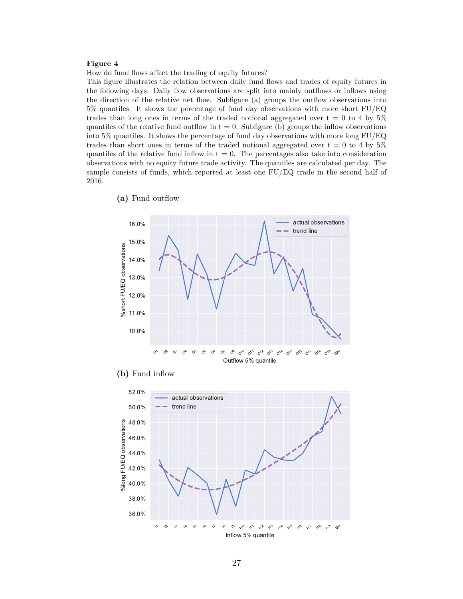<span id="page-29-0"></span>How do fund flows affect the trading of equity futures?

This figure illustrates the relation between daily fund flows and trades of equity futures in the following days. Daily flow observations are split into mainly outflows or inflows using the direction of the relative net flow. Subfigure (a) groups the outflow observations into 5% quantiles. It shows the percentage of fund day observations with more short FU/EQ trades than long ones in terms of the traded notional aggregated over  $t = 0$  to 4 by 5% quantiles of the relative fund outflow in  $t = 0$ . Subfigure (b) groups the inflow observations into 5% quantiles. It shows the percentage of fund day observations with more long FU/EQ trades than short ones in terms of the traded notional aggregated over  $t = 0$  to 4 by 5% quantiles of the relative fund inflow in  $t = 0$ . The percentages also take into consideration observations with no equity future trade activity. The quantiles are calculated per day. The sample consists of funds, which reported at least one FU/EQ trade in the second half of 2016.







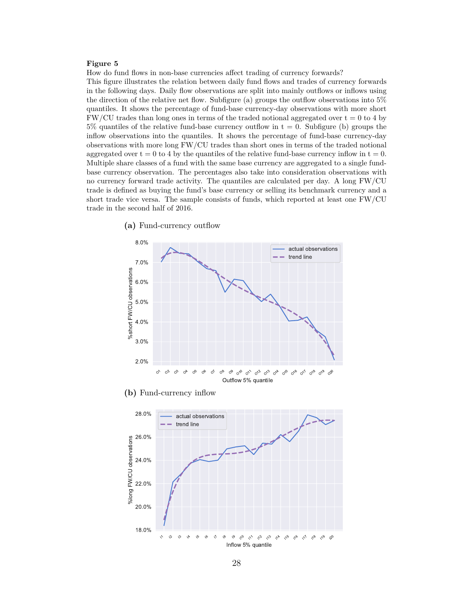<span id="page-30-0"></span>How do fund flows in non-base currencies affect trading of currency forwards?

This figure illustrates the relation between daily fund flows and trades of currency forwards in the following days. Daily flow observations are split into mainly outflows or inflows using the direction of the relative net flow. Subfigure (a) groups the outflow observations into 5% quantiles. It shows the percentage of fund-base currency-day observations with more short  $FW/CU$  trades than long ones in terms of the traded notional aggregated over  $t = 0$  to 4 by  $5\%$  quantiles of the relative fund-base currency outflow in  $t = 0$ . Subfigure (b) groups the inflow observations into the quantiles. It shows the percentage of fund-base currency-day observations with more long FW/CU trades than short ones in terms of the traded notional aggregated over  $t = 0$  to 4 by the quantiles of the relative fund-base currency inflow in  $t = 0$ . Multiple share classes of a fund with the same base currency are aggregated to a single fundbase currency observation. The percentages also take into consideration observations with no currency forward trade activity. The quantiles are calculated per day. A long FW/CU trade is defined as buying the fund's base currency or selling its benchmark currency and a short trade vice versa. The sample consists of funds, which reported at least one FW/CU trade in the second half of 2016.

**(a)** Fund-currency outflow



**(b)** Fund-currency inflow

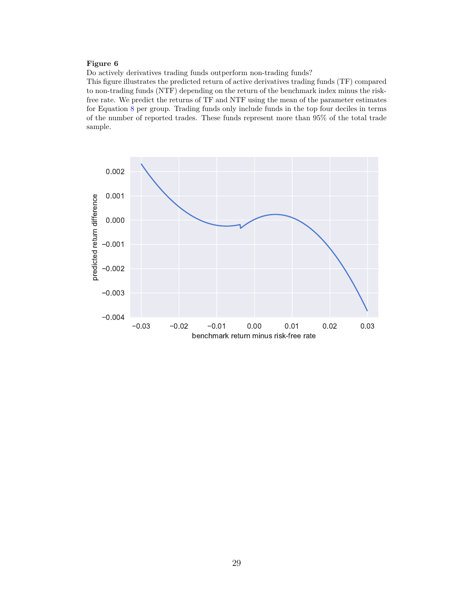<span id="page-31-0"></span>Do actively derivatives trading funds outperform non-trading funds?

This figure illustrates the predicted return of active derivatives trading funds (TF) compared to non-trading funds (NTF) depending on the return of the benchmark index minus the riskfree rate. We predict the returns of TF and NTF using the mean of the parameter estimates for Equation [8](#page-13-2) per group. Trading funds only include funds in the top four deciles in terms of the number of reported trades. These funds represent more than 95% of the total trade sample.

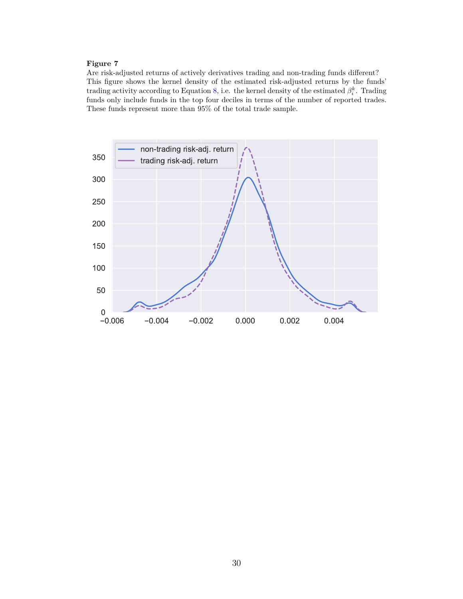<span id="page-32-0"></span>Are risk-adjusted returns of actively derivatives trading and non-trading funds different? This figure shows the kernel density of the estimated risk-adjusted returns by the funds' trading activity according to Equation [8,](#page-13-2) i.e. the kernel density of the estimated  $\beta_i^k$ . Trading funds only include funds in the top four deciles in terms of the number of reported trades. These funds represent more than 95% of the total trade sample.

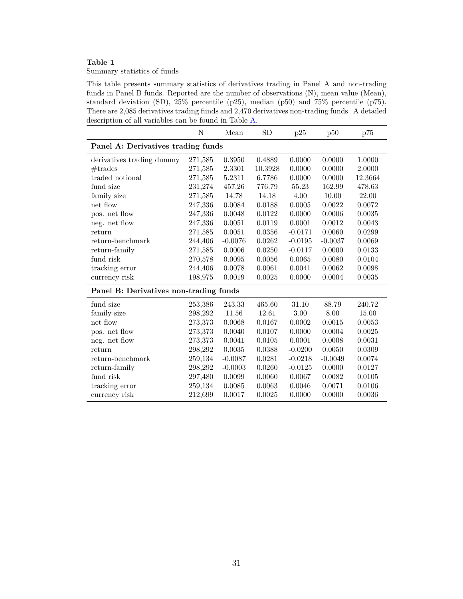<span id="page-33-0"></span>Summary statistics of funds

This table presents summary statistics of derivatives trading in Panel A and non-trading funds in Panel B funds. Reported are the number of observations (N), mean value (Mean), standard deviation (SD), 25% percentile (p25), median (p50) and 75% percentile (p75). There are 2,085 derivatives trading funds and 2,470 derivatives non-trading funds. A detailed description of all variables can be found in Table [A.](#page-40-0)

|                                        | N                                  | Mean      | <b>SD</b> | p25       | p50       | p75     |  |
|----------------------------------------|------------------------------------|-----------|-----------|-----------|-----------|---------|--|
|                                        | Panel A: Derivatives trading funds |           |           |           |           |         |  |
| derivatives trading dummy              | 271,585                            | 0.3950    | 0.4889    | 0.0000    | 0.0000    | 1.0000  |  |
| #t <sub>rades</sub>                    | 271,585                            | 2.3301    | 10.3928   | 0.0000    | 0.0000    | 2.0000  |  |
| traded notional                        | 271,585                            | 5.2311    | 6.7786    | 0.0000    | 0.0000    | 12.3664 |  |
| fund size                              | 231,274                            | 457.26    | 776.79    | 55.23     | 162.99    | 478.63  |  |
| family size                            | 271,585                            | 14.78     | 14.18     | 4.00      | 10.00     | 22.00   |  |
| net flow                               | 247,336                            | 0.0084    | 0.0188    | 0.0005    | 0.0022    | 0.0072  |  |
| pos. net flow                          | 247,336                            | 0.0048    | 0.0122    | 0.0000    | 0.0006    | 0.0035  |  |
| neg. net flow                          | 247,336                            | 0.0051    | 0.0119    | 0.0001    | 0.0012    | 0.0043  |  |
| return                                 | 271,585                            | 0.0051    | 0.0356    | $-0.0171$ | 0.0060    | 0.0299  |  |
| return-benchmark                       | 244,406                            | $-0.0076$ | 0.0262    | $-0.0195$ | $-0.0037$ | 0.0069  |  |
| return-family                          | 271,585                            | 0.0006    | 0.0250    | $-0.0117$ | 0.0000    | 0.0133  |  |
| fund risk                              | 270,578                            | 0.0095    | 0.0056    | 0.0065    | 0.0080    | 0.0104  |  |
| tracking error                         | 244,406                            | 0.0078    | 0.0061    | 0.0041    | 0.0062    | 0.0098  |  |
| currency risk                          | 198,975                            | 0.0019    | 0.0025    | 0.0000    | 0.0004    | 0.0035  |  |
| Panel B: Derivatives non-trading funds |                                    |           |           |           |           |         |  |
| fund size                              | 253,386                            | 243.33    | 465.60    | 31.10     | 88.79     | 240.72  |  |
| family size                            | 298,292                            | 11.56     | 12.61     | 3.00      | 8.00      | 15.00   |  |
| net flow                               | 273,373                            | 0.0068    | 0.0167    | 0.0002    | 0.0015    | 0.0053  |  |
| pos. net flow                          | 273,373                            | 0.0040    | 0.0107    | 0.0000    | 0.0004    | 0.0025  |  |
| neg. net flow                          | 273,373                            | 0.0041    | 0.0105    | 0.0001    | 0.0008    | 0.0031  |  |
| return                                 | 298,292                            | 0.0035    | 0.0388    | $-0.0200$ | 0.0050    | 0.0309  |  |
| return-benchmark                       | 259,134                            | $-0.0087$ | 0.0281    | $-0.0218$ | $-0.0049$ | 0.0074  |  |
| return-family                          | 298,292                            | $-0.0003$ | 0.0260    | $-0.0125$ | 0.0000    | 0.0127  |  |
| fund risk                              | 297,480                            | 0.0099    | 0.0060    | 0.0067    | 0.0082    | 0.0105  |  |
| tracking error                         | 259,134                            | 0.0085    | 0.0063    | 0.0046    | 0.0071    | 0.0106  |  |
| currency risk                          | 212,699                            | 0.0017    | 0.0025    | 0.0000    | 0.0000    | 0.0036  |  |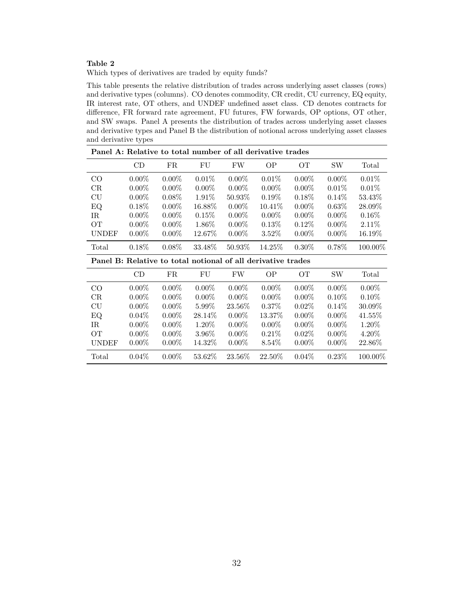<span id="page-34-0"></span>Which types of derivatives are traded by equity funds?

This table presents the relative distribution of trades across underlying asset classes (rows) and derivative types (columns). CO denotes commodity, CR credit, CU currency, EQ equity, IR interest rate, OT others, and UNDEF undefined asset class. CD denotes contracts for difference, FR forward rate agreement, FU futures, FW forwards, OP options, OT other, and SW swaps. Panel A presents the distribution of trades across underlying asset classes and derivative types and Panel B the distribution of notional across underlying asset classes and derivative types

| Panel A: Relative to total number of all derivative trades   |          |          |          |          |           |          |           |           |
|--------------------------------------------------------------|----------|----------|----------|----------|-----------|----------|-----------|-----------|
|                                                              | CD       | FR       | FU       | FW       | <b>OP</b> | OТ       | <b>SW</b> | Total     |
| $_{\rm CO}$                                                  | $0.00\%$ | $0.00\%$ | 0.01%    | $0.00\%$ | 0.01%     | $0.00\%$ | $0.00\%$  | $0.01\%$  |
| $_{\rm CR}$                                                  | $0.00\%$ | $0.00\%$ | $0.00\%$ | $0.00\%$ | $0.00\%$  | $0.00\%$ | $0.01\%$  | $0.01\%$  |
| CU                                                           | $0.00\%$ | $0.08\%$ | $1.91\%$ | 50.93\%  | $0.19\%$  | $0.18\%$ | $0.14\%$  | 53.43\%   |
| EQ.                                                          | $0.18\%$ | $0.00\%$ | 16.88%   | $0.00\%$ | $10.41\%$ | $0.00\%$ | $0.63\%$  | 28.09%    |
| IR                                                           | $0.00\%$ | $0.00\%$ | 0.15%    | $0.00\%$ | $0.00\%$  | $0.00\%$ | $0.00\%$  | $0.16\%$  |
| OТ                                                           | $0.00\%$ | $0.00\%$ | 1.86%    | $0.00\%$ | $0.13\%$  | $0.12\%$ | $0.00\%$  | 2.11\%    |
| UNDEF                                                        | $0.00\%$ | $0.00\%$ | 12.67\%  | $0.00\%$ | $3.52\%$  | $0.00\%$ | $0.00\%$  | $16.19\%$ |
| Total                                                        | $0.18\%$ | $0.08\%$ | 33.48%   | 50.93\%  | 14.25\%   | $0.30\%$ | 0.78%     | 100.00%   |
| Panel B: Relative to total notional of all derivative trades |          |          |          |          |           |          |           |           |
|                                                              |          |          |          |          |           |          |           |           |
|                                                              | CD       | FR       | FU       | FW       | <b>OP</b> | OТ       | SW        | Total     |
| CO <sup>-</sup>                                              | $0.00\%$ | $0.00\%$ | $0.00\%$ | $0.00\%$ | $0.00\%$  | $0.00\%$ | $0.00\%$  | $0.00\%$  |
| CR                                                           | $0.00\%$ | $0.00\%$ | $0.00\%$ | $0.00\%$ | $0.00\%$  | $0.00\%$ | $0.10\%$  | $0.10\%$  |
| $\rm{CU}$                                                    | $0.00\%$ | $0.00\%$ | $5.99\%$ | 23.56\%  | $0.37\%$  | $0.02\%$ | $0.14\%$  | 30.09%    |
| EQ.                                                          | $0.04\%$ | $0.00\%$ | 28.14\%  | $0.00\%$ | 13.37\%   | $0.00\%$ | $0.00\%$  | 41.55%    |
| IR                                                           | $0.00\%$ | $0.00\%$ | 1.20\%   | $0.00\%$ | $0.00\%$  | $0.00\%$ | $0.00\%$  | 1.20\%    |
| OТ                                                           | $0.00\%$ | $0.00\%$ | $3.96\%$ | $0.00\%$ | $0.21\%$  | $0.02\%$ | $0.00\%$  | $4.20\%$  |
| UNDEF                                                        | $0.00\%$ | $0.00\%$ | 14.32\%  | $0.00\%$ | 8.54\%    | $0.00\%$ | $0.00\%$  | 22.86%    |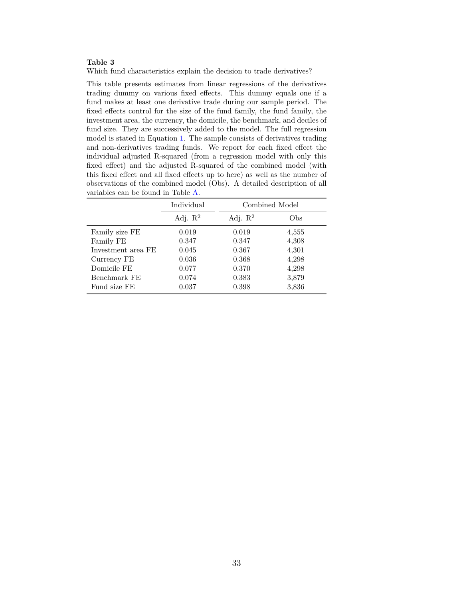<span id="page-35-0"></span>Which fund characteristics explain the decision to trade derivatives?

This table presents estimates from linear regressions of the derivatives trading dummy on various fixed effects. This dummy equals one if a fund makes at least one derivative trade during our sample period. The fixed effects control for the size of the fund family, the fund family, the investment area, the currency, the domicile, the benchmark, and deciles of fund size. They are successively added to the model. The full regression model is stated in Equation [1.](#page-10-1) The sample consists of derivatives trading and non-derivatives trading funds. We report for each fixed effect the individual adjusted R-squared (from a regression model with only this fixed effect) and the adjusted R-squared of the combined model (with this fixed effect and all fixed effects up to here) as well as the number of observations of the combined model (Obs). A detailed description of all variables can be found in Table [A.](#page-40-0)

|                    | Individual          |                     | Combined Model |
|--------------------|---------------------|---------------------|----------------|
|                    | Adj. $\mathbb{R}^2$ | Adj. $\mathbb{R}^2$ | Obs            |
| Family size FE     | 0.019               | 0.019               | 4,555          |
| Family FE          | 0.347               | 0.347               | 4,308          |
| Investment area FE | 0.045               | 0.367               | 4,301          |
| Currency FE        | 0.036               | 0.368               | 4,298          |
| Domicile FE        | 0.077               | 0.370               | 4,298          |
| Benchmark FE       | 0.074               | 0.383               | 3,879          |
| Fund size FE       | 0.037               | 0.398               | 3,836          |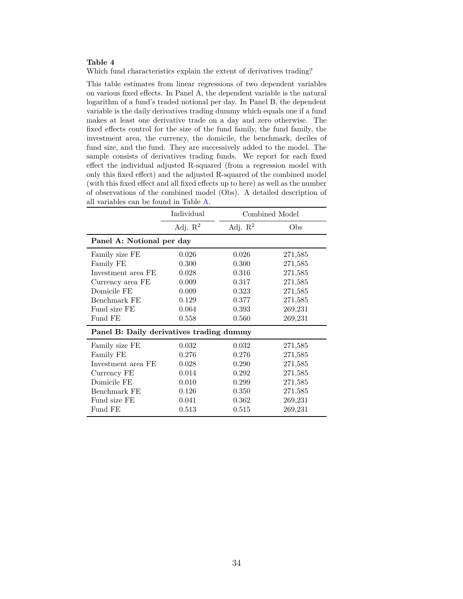<span id="page-36-0"></span>Which fund characteristics explain the extent of derivatives trading?

This table estimates from linear regressions of two dependent variables on various fixed effects. In Panel A, the dependent variable is the natural logarithm of a fund's traded notional per day. In Panel B, the dependent variable is the daily derivatives trading dummy which equals one if a fund makes at least one derivative trade on a day and zero otherwise. The fixed effects control for the size of the fund family, the fund family, the investment area, the currency, the domicile, the benchmark, deciles of fund size, and the fund. They are successively added to the model. The sample consists of derivatives trading funds. We report for each fixed effect the individual adjusted R-squared (from a regression model with only this fixed effect) and the adjusted R-squared of the combined model (with this fixed effect and all fixed effects up to here) as well as the number of observations of the combined model (Obs). A detailed description of all variables can be found in Table [A.](#page-40-0)

|                                          | Individual          |            | Combined Model |  |  |
|------------------------------------------|---------------------|------------|----------------|--|--|
|                                          | Adj. $\mathbb{R}^2$ | Adj. $R^2$ | Obs            |  |  |
| Panel A: Notional per day                |                     |            |                |  |  |
| Family size FE                           | 0.026               | 0.026      | 271,585        |  |  |
| Family FE                                | 0.300               | 0.300      | 271,585        |  |  |
| Investment area FE                       | 0.028               | 0.316      | 271,585        |  |  |
| Currency area FE                         | 0.009               | 0.317      | 271,585        |  |  |
| Domicile FE                              | 0.009               | 0.323      | 271,585        |  |  |
| Benchmark FE                             | 0.129               | 0.377      | 271,585        |  |  |
| Fund size FE                             | 0.064               | 0.393      | 269,231        |  |  |
| Fund FE                                  | 0.558               | 0.560      | 269,231        |  |  |
| Panel B: Daily derivatives trading dummy |                     |            |                |  |  |
| Family size FE                           | 0.032               | 0.032      | 271,585        |  |  |
| Family FE                                | 0.276               | 0.276      | 271,585        |  |  |
| Investment area FE                       | 0.028               | 0.290      | 271,585        |  |  |
| Currency FE                              | 0.014               | 0.292      | 271,585        |  |  |
| Domicile FE                              | 0.010               | 0.299      | 271,585        |  |  |
| Benchmark FE                             | 0.126               | 0.350      | 271,585        |  |  |
| Fund size FE                             | 0.041               | 0.362      | 269,231        |  |  |
| Fund FE                                  | 0.513               | 0.515      | 269,231        |  |  |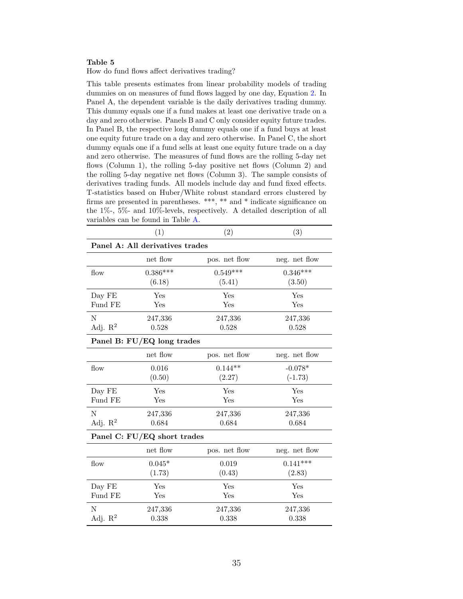<span id="page-37-0"></span>How do fund flows affect derivatives trading?

This table presents estimates from linear probability models of trading dummies on on measures of fund flows lagged by one day, Equation [2.](#page-11-0) In Panel A, the dependent variable is the daily derivatives trading dummy. This dummy equals one if a fund makes at least one derivative trade on a day and zero otherwise. Panels B and C only consider equity future trades. In Panel B, the respective long dummy equals one if a fund buys at least one equity future trade on a day and zero otherwise. In Panel C, the short dummy equals one if a fund sells at least one equity future trade on a day and zero otherwise. The measures of fund flows are the rolling 5-day net flows (Column 1), the rolling 5-day positive net flows (Column 2) and the rolling 5-day negative net flows (Column 3). The sample consists of derivatives trading funds. All models include day and fund fixed effects. T-statistics based on Huber/White robust standard errors clustered by firms are presented in parentheses. \*\*\*, \*\* and \* indicate significance on the 1%-, 5%- and 10%-levels, respectively. A detailed description of all variables can be found in Table [A.](#page-40-0)

|            | (1)                             | (2)           | (3)           |  |  |  |  |
|------------|---------------------------------|---------------|---------------|--|--|--|--|
|            | Panel A: All derivatives trades |               |               |  |  |  |  |
|            | net flow                        | pos. net flow | neg. net flow |  |  |  |  |
| flow       | $0.386***$                      | $0.549***$    | $0.346***$    |  |  |  |  |
|            | (6.18)                          | (5.41)        | (3.50)        |  |  |  |  |
| Day FE     | Yes                             | Yes           | Yes           |  |  |  |  |
| Fund FE    | Yes                             | Yes           | Yes           |  |  |  |  |
| N          | 247,336                         | 247,336       | 247,336       |  |  |  |  |
| Adj. $R^2$ | 0.528                           | 0.528         | 0.528         |  |  |  |  |
|            | Panel B: FU/EQ long trades      |               |               |  |  |  |  |
|            | net flow                        | pos. net flow | neg. net flow |  |  |  |  |
| flow       | 0.016                           | $0.144**$     | $-0.078*$     |  |  |  |  |
|            | (0.50)                          | (2.27)        | $(-1.73)$     |  |  |  |  |
| Day FE     | Yes                             | Yes           | Yes           |  |  |  |  |
| Fund FE    | $_{\rm Yes}$                    | Yes           | Yes           |  |  |  |  |
| N          | 247,336                         | 247,336       | 247,336       |  |  |  |  |
| Adj. $R^2$ | 0.684                           | 0.684         | 0.684         |  |  |  |  |
|            | Panel C: FU/EQ short trades     |               |               |  |  |  |  |
|            | net flow                        | pos. net flow | neg. net flow |  |  |  |  |
| flow       | $0.045*$                        | 0.019         | $0.141***$    |  |  |  |  |
|            | (1.73)                          | (0.43)        | (2.83)        |  |  |  |  |
| Day FE     | Yes                             | Yes           | Yes           |  |  |  |  |
| Fund FE    | $_{\rm Yes}$                    | Yes           | Yes           |  |  |  |  |
| N          | 247,336                         | 247,336       | 247,336       |  |  |  |  |
| Adj. $R^2$ | 0.338                           | 0.338         | 0.338         |  |  |  |  |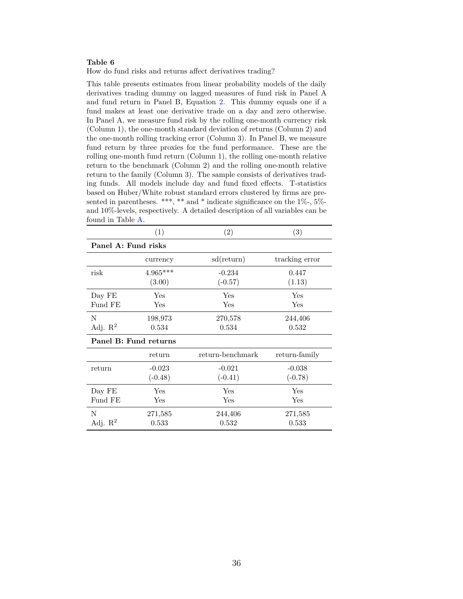<span id="page-38-0"></span>How do fund risks and returns affect derivatives trading?

This table presents estimates from linear probability models of the daily derivatives trading dummy on lagged measures of fund risk in Panel A and fund return in Panel B, Equation [2.](#page-11-0) This dummy equals one if a fund makes at least one derivative trade on a day and zero otherwise. In Panel A, we measure fund risk by the rolling one-month currency risk (Column 1), the one-month standard deviation of returns (Column 2) and the one-month rolling tracking error (Column 3). In Panel B, we measure fund return by three proxies for the fund performance. These are the rolling one-month fund return (Column 1), the rolling one-month relative return to the benchmark (Column 2) and the rolling one-month relative return to the family (Column 3). The sample consists of derivatives trading funds. All models include day and fund fixed effects. T-statistics based on Huber/White robust standard errors clustered by firms are presented in parentheses. \*\*\*, \*\* and \* indicate significance on the  $1\%$ -,  $5\%$ and 10%-levels, respectively. A detailed description of all variables can be found in Table [A.](#page-40-0)

|                       | (1)                  | (2)              | (3)            |
|-----------------------|----------------------|------------------|----------------|
| Panel A: Fund risks   |                      |                  |                |
|                       | currency             | sd(return)       | tracking error |
| risk                  | $4.965***$           | $-0.234$         | 0.447          |
|                       | (3.00)               | $(-0.57)$        | (1.13)         |
| Day FE                | Yes                  | Yes              | Yes            |
| Fund FE               | Yes                  | Yes              | Yes            |
| N                     | 198,973              | 270,578          | 244,406        |
| Adj. $\mathbb{R}^2$   | 0.534                | 0.534            | 0.532          |
| Panel B: Fund returns |                      |                  |                |
|                       | return               | return-benchmark | return-family  |
| return                | $-0.023$             | $-0.021$         | $-0.038$       |
|                       | $(-0.48)$            | $(-0.41)$        | $(-0.78)$      |
| Day FE                | Yes                  | Yes              | Yes            |
| Fund FE               | $\operatorname{Yes}$ | Yes              | Yes            |
| N                     | 271,585              | 244,406          | 271,585        |
| Adj. $\mathbb{R}^2$   | 0.533                | 0.532            | 0.533          |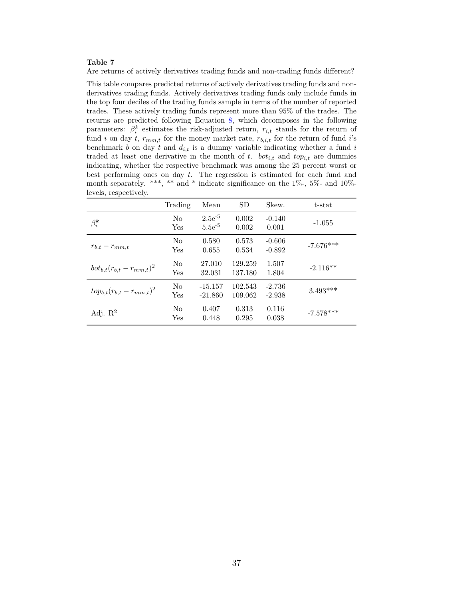<span id="page-39-0"></span>Are returns of actively derivatives trading funds and non-trading funds different?

This table compares predicted returns of actively derivatives trading funds and nonderivatives trading funds. Actively derivatives trading funds only include funds in the top four deciles of the trading funds sample in terms of the number of reported trades. These actively trading funds represent more than 95% of the trades. The returns are predicted following Equation [8,](#page-13-2) which decomposes in the following parameters:  $\beta_i^k$  estimates the risk-adjusted return,  $r_{i,t}$  stands for the return of fund *i* on day *t*,  $r_{mm,t}$  for the money market rate,  $r_{b,i,t}$  for the return of fund *i*'s benchmark  $b$  on day  $t$  and  $d_{i,t}$  is a dummy variable indicating whether a fund  $i$ traded at least one derivative in the month of *t*.  $bot_{i,t}$  and  $top_{i,t}$  are dummies indicating, whether the respective benchmark was among the 25 percent worst or best performing ones on day *t*. The regression is estimated for each fund and month separately. \*\*\*, \*\* and \* indicate significance on the 1%-, 5%- and 10% levels, respectively.

|                                   | Trading               | Mean                       | <b>SD</b>          | Skew.                | t-stat      |
|-----------------------------------|-----------------------|----------------------------|--------------------|----------------------|-------------|
| $\beta_i^k$                       | No.<br>Yes            | $2.5e^{-5}$<br>$5.5e^{-5}$ | 0.002<br>0.002     | $-0.140$<br>0.001    | $-1.055$    |
| $r_{b,t} - r_{mm,t}$              | N <sub>o</sub><br>Yes | 0.580<br>0.655             | 0.573<br>0.534     | $-0.606$<br>$-0.892$ | $-7.676***$ |
| $bot_{b,t}(r_{b,t} - r_{mm,t})^2$ | $\rm No$<br>Yes       | 27.010<br>32.031           | 129.259<br>137.180 | 1.507<br>1.804       | $-2.116**$  |
| $top_{b,t}(r_{b,t} - r_{mm,t})^2$ | $\rm No$<br>Yes       | $-15.157$<br>$-21.860$     | 102.543<br>109.062 | $-2.736$<br>$-2.938$ | $3.493***$  |
| Adj. $\mathbb{R}^2$               | $\rm No$<br>Yes       | 0.407<br>0.448             | 0.313<br>0.295     | 0.116<br>0.038       | $-7.578***$ |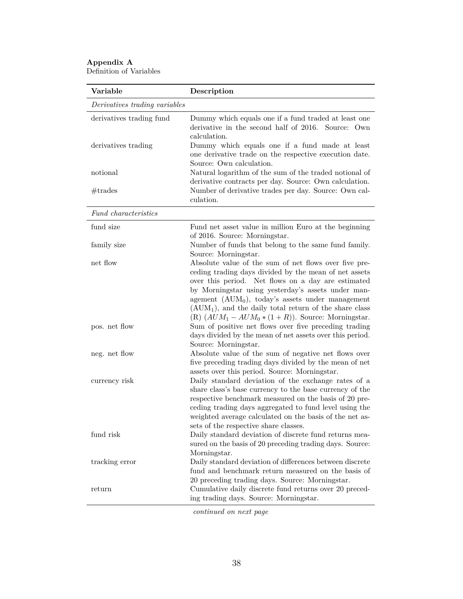## <span id="page-40-0"></span>**Appendix A** Definition of Variables

| Variable                                        | Description                                                                                                                                                                                                                                                                                                                                                                                             |
|-------------------------------------------------|---------------------------------------------------------------------------------------------------------------------------------------------------------------------------------------------------------------------------------------------------------------------------------------------------------------------------------------------------------------------------------------------------------|
| Derivatives trading variables                   |                                                                                                                                                                                                                                                                                                                                                                                                         |
| derivatives trading fund<br>derivatives trading | Dummy which equals one if a fund traded at least one<br>derivative in the second half of 2016. Source: Own<br>calculation.<br>Dummy which equals one if a fund made at least                                                                                                                                                                                                                            |
| notional                                        | one derivative trade on the respective execution date.<br>Source: Own calculation.<br>Natural logarithm of the sum of the traded notional of                                                                                                                                                                                                                                                            |
| #trades                                         | derivative contracts per day. Source: Own calculation.<br>Number of derivative trades per day. Source: Own cal-<br>culation.                                                                                                                                                                                                                                                                            |
| Fund characteristics                            |                                                                                                                                                                                                                                                                                                                                                                                                         |
| fund size                                       | Fund net asset value in million Euro at the beginning<br>of 2016. Source: Morningstar.                                                                                                                                                                                                                                                                                                                  |
| family size                                     | Number of funds that belong to the same fund family.<br>Source: Morningstar.                                                                                                                                                                                                                                                                                                                            |
| net flow                                        | Absolute value of the sum of net flows over five pre-<br>ceding trading days divided by the mean of net assets<br>over this period. Net flows on a day are estimated<br>by Morningstar using yesterday's assets under man-<br>agement $(AUM_0)$ , today's assets under management<br>$(AUM1)$ , and the daily total return of the share class<br>(R) $(AUM_1 - AUM_0 * (1 + R))$ . Source: Morningstar. |
| pos. net flow                                   | Sum of positive net flows over five preceding trading<br>days divided by the mean of net assets over this period.<br>Source: Morningstar.                                                                                                                                                                                                                                                               |
| neg. net flow                                   | Absolute value of the sum of negative net flows over<br>five preceding trading days divided by the mean of net<br>assets over this period. Source: Morningstar.                                                                                                                                                                                                                                         |
| currency risk                                   | Daily standard deviation of the exchange rates of a<br>share class's base currency to the base currency of the<br>respective benchmark measured on the basis of 20 pre-<br>ceding trading days aggregated to fund level using the<br>weighted average calculated on the basis of the net as-<br>sets of the respective share classes.                                                                   |
| fund risk                                       | Daily standard deviation of discrete fund returns mea-<br>sured on the basis of 20 preceding trading days. Source:<br>Morningstar.                                                                                                                                                                                                                                                                      |
| tracking error                                  | Daily standard deviation of differences between discrete<br>fund and benchmark return measured on the basis of                                                                                                                                                                                                                                                                                          |
| return                                          | 20 preceding trading days. Source: Morningstar.<br>Cumulative daily discrete fund returns over 20 preced-<br>ing trading days. Source: Morningstar.                                                                                                                                                                                                                                                     |

*continued on next page*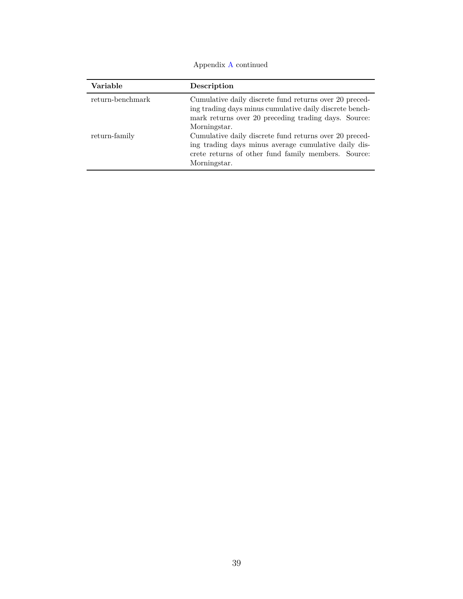Appendix [A](#page-40-0) continued

| Variable         | Description                                                                                                                                                                               |
|------------------|-------------------------------------------------------------------------------------------------------------------------------------------------------------------------------------------|
| return-benchmark | Cumulative daily discrete fund returns over 20 preced-<br>ing trading days minus cumulative daily discrete bench-<br>mark returns over 20 preceding trading days. Source:<br>Morningstar. |
| return-family    | Cumulative daily discrete fund returns over 20 preced-<br>ing trading days minus average cumulative daily dis-<br>crete returns of other fund family members. Source:<br>Morningstar.     |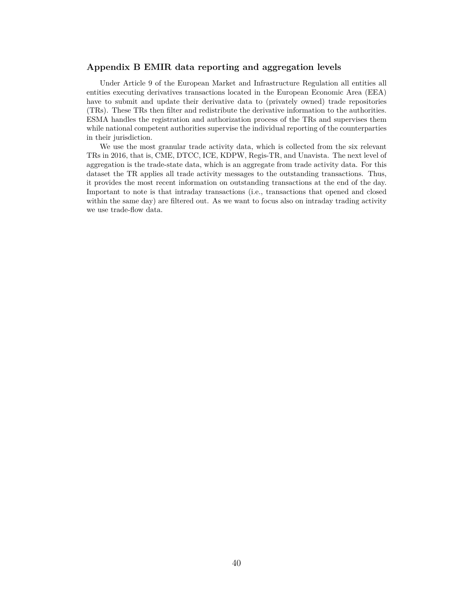## **Appendix B EMIR data reporting and aggregation levels**

Under Article 9 of the European Market and Infrastructure Regulation all entities all entities executing derivatives transactions located in the European Economic Area (EEA) have to submit and update their derivative data to (privately owned) trade repositories (TRs). These TRs then filter and redistribute the derivative information to the authorities. ESMA handles the registration and authorization process of the TRs and supervises them while national competent authorities supervise the individual reporting of the counterparties in their jurisdiction.

We use the most granular trade activity data, which is collected from the six relevant TRs in 2016, that is, CME, DTCC, ICE, KDPW, Regis-TR, and Unavista. The next level of aggregation is the trade-state data, which is an aggregate from trade activity data. For this dataset the TR applies all trade activity messages to the outstanding transactions. Thus, it provides the most recent information on outstanding transactions at the end of the day. Important to note is that intraday transactions (i.e., transactions that opened and closed within the same day) are filtered out. As we want to focus also on intraday trading activity we use trade-flow data.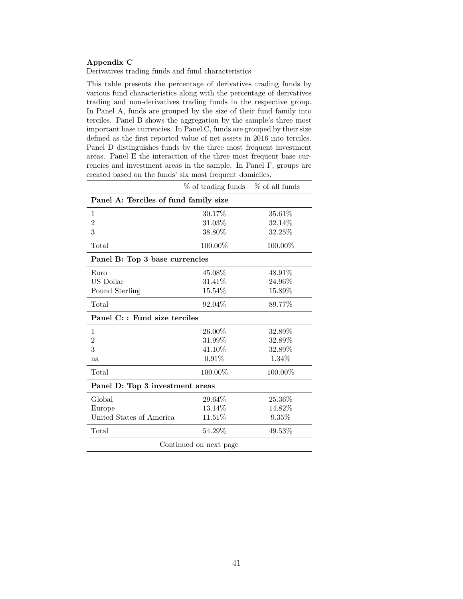## <span id="page-43-0"></span>**Appendix C**

Derivatives trading funds and fund characteristics

This table presents the percentage of derivatives trading funds by various fund characteristics along with the percentage of derivatives trading and non-derivatives trading funds in the respective group. In Panel A, funds are grouped by the size of their fund family into terciles. Panel B shows the aggregation by the sample's three most important base currencies. In Panel C, funds are grouped by their size defined as the first reported value of net assets in 2016 into terciles. Panel D distinguishes funds by the three most frequent investment areas. Panel E the interaction of the three most frequent base currencies and investment areas in the sample. In Panel F, groups are created based on the funds' six most frequent domiciles.

|                                       | $\%$ of trading funds $\%$ of all funds |         |  |  |  |  |
|---------------------------------------|-----------------------------------------|---------|--|--|--|--|
| Panel A: Terciles of fund family size |                                         |         |  |  |  |  |
| $\mathbf{1}$                          | 30.17%                                  | 35.61%  |  |  |  |  |
| $\overline{2}$                        | 31.03%                                  | 32.14%  |  |  |  |  |
| 3                                     | 38.80%                                  | 32.25%  |  |  |  |  |
| Total                                 | 100.00%                                 | 100.00% |  |  |  |  |
| Panel B: Top 3 base currencies        |                                         |         |  |  |  |  |
| Euro                                  | 45.08%                                  | 48.91%  |  |  |  |  |
| US Dollar                             | 31.41\%                                 | 24.96%  |  |  |  |  |
| Pound Sterling                        | 15.54%                                  | 15.89%  |  |  |  |  |
| Total                                 | 92.04%                                  | 89.77%  |  |  |  |  |
| Panel C: : Fund size terciles         |                                         |         |  |  |  |  |
| 1                                     | 26.00%                                  | 32.89%  |  |  |  |  |
| $\overline{2}$                        | 31.99%                                  | 32.89%  |  |  |  |  |
| 3                                     | 41.10%                                  | 32.89%  |  |  |  |  |
| na                                    | 0.91%                                   | 1.34%   |  |  |  |  |
| Total                                 | 100.00%                                 | 100.00% |  |  |  |  |
| Panel D: Top 3 investment areas       |                                         |         |  |  |  |  |
| Global                                | 29.64\%                                 | 25.36%  |  |  |  |  |
| Europe                                | 13.14%                                  | 14.82%  |  |  |  |  |
| United States of America              | 11.51%                                  | 9.35%   |  |  |  |  |
| $_{\rm Total}$                        | 54.29%                                  | 49.53%  |  |  |  |  |
|                                       | Continued on next page                  |         |  |  |  |  |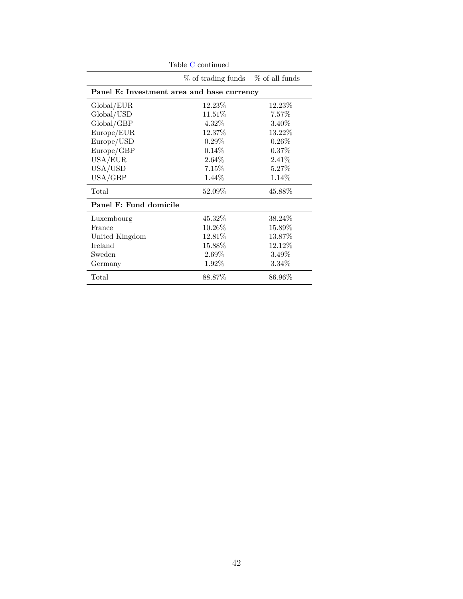|                        | Table C continued                          |                |
|------------------------|--------------------------------------------|----------------|
|                        | % of trading funds                         | % of all funds |
|                        | Panel E: Investment area and base currency |                |
| Global/EUR             | 12.23\%                                    | 12.23\%        |
| Global/USD             | 11.51\%                                    | $7.57\%$       |
| Global/GBP             | $4.32\%$                                   | 3.40\%         |
| Europe/EUR             | 12.37%                                     | 13.22%         |
| Europe/USD             | $0.29\%$                                   | $0.26\%$       |
| Europe/GBP             | 0.14%                                      | $0.37\%$       |
| USA/EUR                | $2.64\%$                                   | $2.41\%$       |
| USA/USD                | 7.15%                                      | 5.27\%         |
| USA/GBP                | 1.44\%                                     | 1.14\%         |
| Total                  | 52.09%                                     | 45.88%         |
| Panel F: Fund domicile |                                            |                |
| Luxembourg             | 45.32\%                                    | 38.24\%        |
| France                 | 10.26%                                     | 15.89%         |
| United Kingdom         | 12.81%                                     | 13.87%         |
| Ireland                | 15.88%                                     | 12.12%         |
| Sweden                 | $2.69\%$                                   | $3.49\%$       |
| Germany                | $1.92\%$                                   | $3.34\%$       |
| Total                  | 88.87%                                     | 86.96%         |
|                        |                                            |                |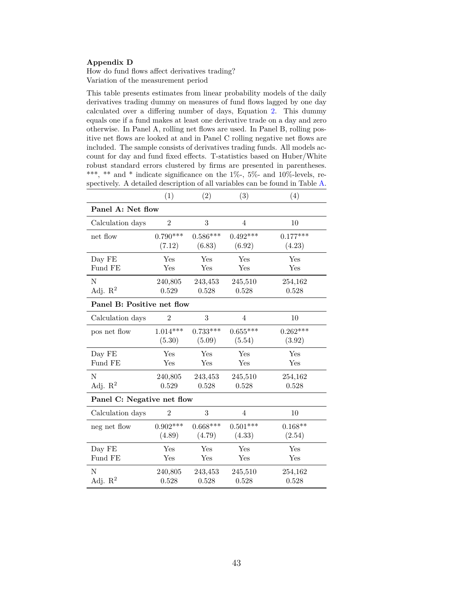## <span id="page-45-0"></span>**Appendix D**

How do fund flows affect derivatives trading? Variation of the measurement period

This table presents estimates from linear probability models of the daily derivatives trading dummy on measures of fund flows lagged by one day calculated over a differing number of days, Equation [2.](#page-11-0) This dummy equals one if a fund makes at least one derivative trade on a day and zero otherwise. In Panel A, rolling net flows are used. In Panel B, rolling positive net flows are looked at and in Panel C rolling negative net flows are included. The sample consists of derivatives trading funds. All models account for day and fund fixed effects. T-statistics based on Huber/White robust standard errors clustered by firms are presented in parentheses. \*\*\*, \*\* and \* indicate significance on the  $1\%$ -,  $5\%$ - and  $10\%$ -levels, respectively. A detailed description of all variables can be found in Table [A.](#page-40-0)

|                            | (1)            | (2)        | (3)            | (4)        |  |
|----------------------------|----------------|------------|----------------|------------|--|
| Panel A: Net flow          |                |            |                |            |  |
| Calculation days           | $\overline{2}$ | 3          | $\overline{4}$ | 10         |  |
| net flow                   | $0.790***$     | $0.586***$ | $0.492***$     | $0.177***$ |  |
|                            | (7.12)         | (6.83)     | (6.92)         | (4.23)     |  |
| Day FE                     | Yes            | Yes        | Yes            | Yes        |  |
| Fund FE                    | Yes            | Yes        | Yes            | Yes        |  |
| $\mathbf N$                | 240,805        | 243,453    | 245,510        | 254,162    |  |
| Adj. $R^2$                 | 0.529          | 0.528      | 0.528          | 0.528      |  |
| Panel B: Positive net flow |                |            |                |            |  |
| Calculation days           | $\overline{2}$ | 3          | 4              | 10         |  |
| pos net flow               | $1.014***$     | $0.733***$ | $0.655***$     | $0.262***$ |  |
|                            | (5.30)         | (5.09)     | (5.54)         | (3.92)     |  |
| Day FE                     | Yes            | Yes        | Yes            | Yes        |  |
| Fund FE                    | Yes            | Yes        | Yes            | Yes        |  |
| N                          | 240,805        | 243,453    | 245,510        | 254,162    |  |
| Adj. $R^2$                 | 0.529          | 0.528      | 0.528          | 0.528      |  |
| Panel C: Negative net flow |                |            |                |            |  |
| Calculation days           | $\overline{2}$ | 3          | $\overline{4}$ | 10         |  |
| neg net flow               | $0.902***$     | $0.668***$ | $0.501***$     | $0.168**$  |  |
|                            | (4.89)         | (4.79)     | (4.33)         | (2.54)     |  |
| Day FE                     | Yes            | Yes        | Yes            | Yes        |  |
| Fund FE                    | Yes            | Yes        | Yes            | Yes        |  |
| N                          | 240,805        | 243,453    | 245,510        | 254,162    |  |
| Adj. $\mathbb{R}^2$        | 0.528          | 0.528      | 0.528          | 0.528      |  |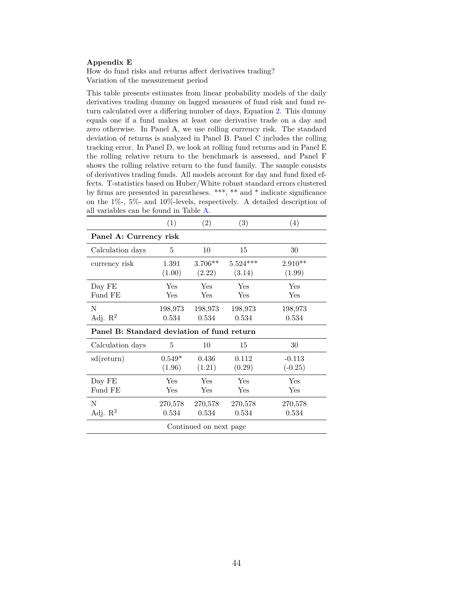## <span id="page-46-0"></span>**Appendix E**

How do fund risks and returns affect derivatives trading? Variation of the measurement period

This table presents estimates from linear probability models of the daily derivatives trading dummy on lagged measures of fund risk and fund return calculated over a differing number of days, Equation [2.](#page-11-0) This dummy equals one if a fund makes at least one derivative trade on a day and zero otherwise. In Panel A, we use rolling currency risk. The standard deviation of returns is analyzed in Panel B. Panel C includes the rolling tracking error. In Panel D, we look at rolling fund returns and in Panel E the rolling relative return to the benchmark is assessed, and Panel F shows the rolling relative return to the fund family. The sample consists of derivatives trading funds. All models account for day and fund fixed effects. T-statistics based on Huber/White robust standard errors clustered by firms are presented in parentheses. \*\*\*, \*\* and \* indicate significance on the 1%-, 5%- and 10%-levels, respectively. A detailed description of all variables can be found in Table [A.](#page-40-0)

|                                            | (1)      | (2)       | (3)        | (4)       |  |  |
|--------------------------------------------|----------|-----------|------------|-----------|--|--|
| Panel A: Currency risk                     |          |           |            |           |  |  |
| Calculation days                           | 5        | 10        | 15         | 30        |  |  |
| currency risk                              | 1.391    | $3.706**$ | $5.524***$ | $2.910**$ |  |  |
|                                            | (1.00)   | (2.22)    | (3.14)     | (1.99)    |  |  |
| Day FE                                     | Yes      | Yes       | Yes        | Yes       |  |  |
| Fund FE                                    | Yes      | Yes       | Yes        | Yes       |  |  |
| N                                          | 198,973  | 198,973   | 198,973    | 198,973   |  |  |
| Adj. $\mathbb{R}^2$                        | 0.534    | 0.534     | 0.534      | 0.534     |  |  |
| Panel B: Standard deviation of fund return |          |           |            |           |  |  |
|                                            |          |           |            |           |  |  |
| Calculation days                           | 5        | 10        | 15         | 30        |  |  |
| sd(return)                                 | $0.549*$ | 0.436     | 0.112      | $-0.113$  |  |  |
|                                            | (1.96)   | (1.21)    | (0.29)     | $(-0.25)$ |  |  |
| Day FE                                     | Yes      | Yes       | Yes        | Yes       |  |  |
| Fund FE                                    | Yes      | Yes       | Yes        | Yes       |  |  |
| N                                          | 270,578  | 270,578   | 270,578    | 270,578   |  |  |
| Adj. $\mathbb{R}^2$                        | 0.534    | 0.534     | 0.534      | 0.534     |  |  |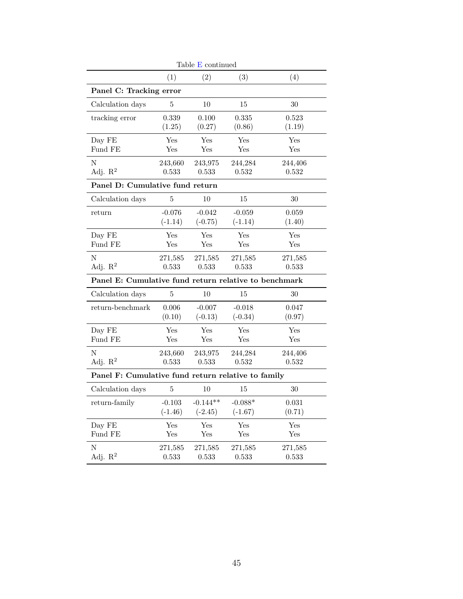|                                                       |           | Table $E$ continued |           |             |
|-------------------------------------------------------|-----------|---------------------|-----------|-------------|
|                                                       | (1)       | (2)                 | (3)       | (4)         |
| Panel C: Tracking error                               |           |                     |           |             |
| Calculation days                                      | 5         | 10                  | 15        | 30          |
| tracking error                                        | 0.339     | 0.100               | 0.335     | 0.523       |
|                                                       | (1.25)    | (0.27)              | (0.86)    | (1.19)      |
| Day FE                                                | Yes       | Yes                 | Yes       | Yes         |
| Fund FE                                               | Yes       | Yes                 | Yes       | Yes         |
| N                                                     | 243,660   | 243,975             | 244,284   | 244,406     |
| Adj. $\mathbb{R}^2$                                   | 0.533     | 0.533               | 0.532     | 0.532       |
| Panel D: Cumulative fund return                       |           |                     |           |             |
| Calculation days                                      | 5         | 10                  | 15        | 30          |
| return                                                | $-0.076$  | $-0.042$            | $-0.059$  | 0.059       |
|                                                       | $(-1.14)$ | $(-0.75)$           | $(-1.14)$ | (1.40)      |
| Day FE                                                | Yes       | Yes                 | Yes       | Yes         |
| Fund FE                                               | Yes       | Yes                 | Yes       | Yes         |
| N                                                     | 271,585   | 271,585             | 271,585   | 271,585     |
| Adj. $R^2$                                            | 0.533     | 0.533               | 0.533     | 0.533       |
| Panel E: Cumulative fund return relative to benchmark |           |                     |           |             |
| Calculation days                                      | $\bf 5$   | 10                  | 15        | 30          |
| return-benchmark                                      | 0.006     | $-0.007$            | $-0.018$  | 0.047       |
|                                                       | (0.10)    | $(-0.13)$           | $(-0.34)$ | (0.97)      |
| Day FE                                                | Yes       | Yes                 | Yes       | Yes         |
| Fund FE                                               | Yes       | Yes                 | Yes       | Yes         |
| N                                                     | 243,660   | 243,975             | 244,284   | 244,406     |
| Adj. $R^2$                                            | 0.533     | 0.533               | 0.532     | 0.532       |
| Panel F: Cumulative fund return relative to family    |           |                     |           |             |
| Calculation days                                      | 5         | 10                  | 15        | 30          |
| return-family                                         | $-0.103$  | $-0.144**$          | $-0.088*$ | $\,0.031\,$ |
|                                                       | $(-1.46)$ | $(-2.45)$           | $(-1.67)$ | (0.71)      |
| Day FE                                                | Yes       | Yes                 | Yes       | Yes         |
| Fund FE                                               | Yes       | Yes                 | Yes       | Yes         |
| $\mathbf N$                                           | 271,585   | 271,585             | 271,585   | 271,585     |
| Adj. $R^2$                                            | 0.533     | 0.533               | 0.533     | $\,0.533\,$ |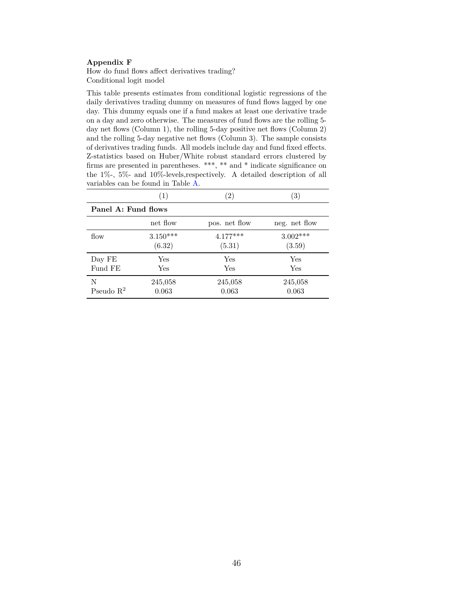## <span id="page-48-0"></span>**Appendix F**

How do fund flows affect derivatives trading? Conditional logit model

This table presents estimates from conditional logistic regressions of the daily derivatives trading dummy on measures of fund flows lagged by one day. This dummy equals one if a fund makes at least one derivative trade on a day and zero otherwise. The measures of fund flows are the rolling 5 day net flows (Column 1), the rolling 5-day positive net flows (Column 2) and the rolling 5-day negative net flows (Column 3). The sample consists of derivatives trading funds. All models include day and fund fixed effects. Z-statistics based on Huber/White robust standard errors clustered by firms are presented in parentheses. \*\*\*, \*\* and \* indicate significance on the 1%-, 5%- and 10%-levels,respectively. A detailed description of all variables can be found in Table [A.](#page-40-0)

|                     | $\left(1\right)$ | $\left( 2\right)$ | 3)              |  |  |
|---------------------|------------------|-------------------|-----------------|--|--|
| Panel A: Fund flows |                  |                   |                 |  |  |
|                     | net flow         | pos. net flow     | neg. net flow   |  |  |
| flow                | $3.150***$       | $4.177***$        | $3.002^{***}\,$ |  |  |
|                     | (6.32)           | (5.31)            | (3.59)          |  |  |
| Day FE              | Yes              | Yes               | Yes             |  |  |
| Fund FE             | Yes              | Yes               | Yes             |  |  |
| N                   | 245,058          | 245,058           | 245,058         |  |  |
| Pseudo $R^2$        | 0.063            | 0.063             | 0.063           |  |  |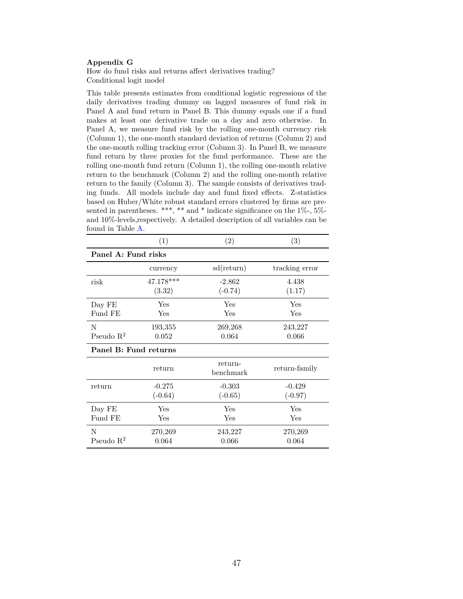## <span id="page-49-0"></span>**Appendix G**

How do fund risks and returns affect derivatives trading? Conditional logit model

This table presents estimates from conditional logistic regressions of the daily derivatives trading dummy on lagged measures of fund risk in Panel A and fund return in Panel B. This dummy equals one if a fund makes at least one derivative trade on a day and zero otherwise. In Panel A, we measure fund risk by the rolling one-month currency risk (Column 1), the one-month standard deviation of returns (Column 2) and the one-month rolling tracking error (Column 3). In Panel B, we measure fund return by three proxies for the fund performance. These are the rolling one-month fund return (Column 1), the rolling one-month relative return to the benchmark (Column 2) and the rolling one-month relative return to the family (Column 3). The sample consists of derivatives trading funds. All models include day and fund fixed effects. Z-statistics based on Huber/White robust standard errors clustered by firms are presented in parentheses. \*\*\*, \*\* and \* indicate significance on the  $1\%$ -,  $5\%$ and 10%-levels,respectively. A detailed description of all variables can be found in Table [A.](#page-40-0)

|                       | (1)         | (2)                     | (3)            |  |  |
|-----------------------|-------------|-------------------------|----------------|--|--|
| Panel A: Fund risks   |             |                         |                |  |  |
|                       | currency    | sd(return)              | tracking error |  |  |
| risk                  | $47.178***$ | $-2.862$                | 4.438          |  |  |
|                       | (3.32)      | $(-0.74)$               | (1.17)         |  |  |
| Day FE                | Yes         | Yes                     | Yes            |  |  |
| Fund FE               | Yes         | Yes                     | Yes            |  |  |
| N                     | 193,355     | 269,268                 | 243,227        |  |  |
| Pseudo $\mathbb{R}^2$ | 0.052       | 0.064                   | 0.066          |  |  |
| Panel B: Fund returns |             |                         |                |  |  |
|                       | return      | return-<br>$b$ enchmark | return-family  |  |  |
| return                | $-0.275$    | $-0.303$                | $-0.429$       |  |  |
|                       | $(-0.64)$   | $(-0.65)$               | $(-0.97)$      |  |  |
| Day FE                | Yes         | Yes                     | Yes            |  |  |
| Fund FE               | Yes         | Yes                     | Yes            |  |  |
| N                     | 270,269     | 243,227                 | 270,269        |  |  |
| Pseudo $\mathbb{R}^2$ | 0.064       | 0.066                   | 0.064          |  |  |